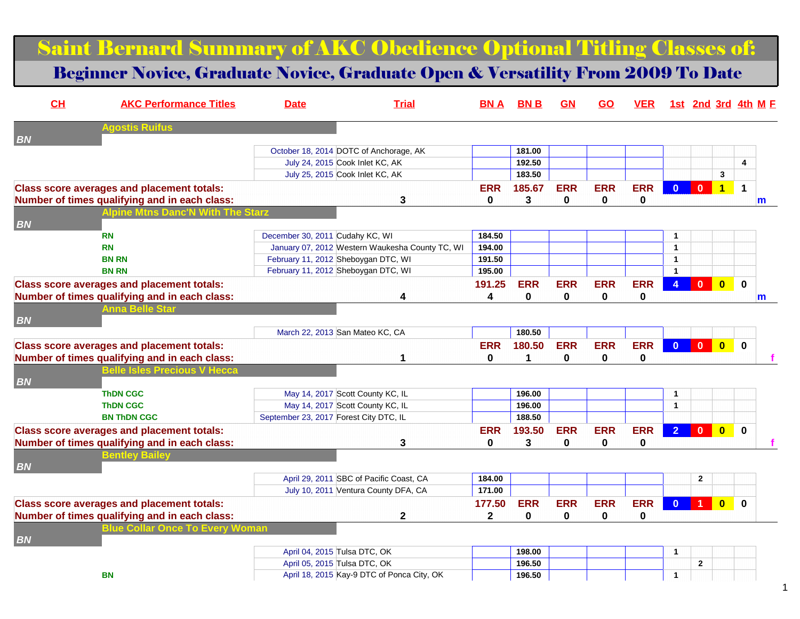Saint Bernard Summary of AKC Obedience Optional Titling Classes of:

Beginner Novice, Graduate Novice, Graduate Open & Versatility From 2009 To Date

| CH        | <b>AKC Performance Titles</b>                                                        | <b>Date</b>                            | <b>Trial</b>                                    | <b>BNA</b>   | <b>BNB</b>  | GN         | GO           | <b>VER</b>  |                      |                |                         | 1st 2nd 3rd 4th M E |
|-----------|--------------------------------------------------------------------------------------|----------------------------------------|-------------------------------------------------|--------------|-------------|------------|--------------|-------------|----------------------|----------------|-------------------------|---------------------|
| <b>BN</b> | <b>Agostis Ruifus</b>                                                                |                                        |                                                 |              |             |            |              |             |                      |                |                         |                     |
|           |                                                                                      |                                        | October 18, 2014 DOTC of Anchorage, AK          |              | 181.00      |            |              |             |                      |                |                         |                     |
|           |                                                                                      |                                        | July 24, 2015 Cook Inlet KC, AK                 |              | 192.50      |            |              |             |                      |                |                         | 4                   |
|           |                                                                                      |                                        | July 25, 2015 Cook Inlet KC, AK                 |              | 183.50      |            |              |             |                      |                | 3                       |                     |
|           | <b>Class score averages and placement totals:</b>                                    |                                        |                                                 | <b>ERR</b>   | 185.67      | <b>ERR</b> | <b>ERR</b>   | <b>ERR</b>  | $\Omega$             | $\mathbf{0}$   | $\overline{1}$          | 1                   |
|           | Number of times qualifying and in each class:                                        |                                        | 3                                               | $\mathbf 0$  | 3           | 0          | $\mathbf{0}$ | 0           |                      |                |                         | m                   |
|           | <b>Inine</b>                                                                         |                                        |                                                 |              |             |            |              |             |                      |                |                         |                     |
| <b>BN</b> |                                                                                      |                                        |                                                 |              |             |            |              |             |                      |                |                         |                     |
|           | <b>RN</b>                                                                            | December 30, 2011 Cudahy KC, WI        |                                                 | 184.50       |             |            |              |             | 1                    |                |                         |                     |
|           | <b>RN</b>                                                                            |                                        | January 07, 2012 Western Waukesha County TC, WI | 194.00       |             |            |              |             | $\mathbf{1}$         |                |                         |                     |
|           | <b>BN RN</b>                                                                         |                                        | February 11, 2012 Sheboygan DTC, WI             | 191.50       |             |            |              |             | $\mathbf{1}$         |                |                         |                     |
|           | <b>BN RN</b>                                                                         |                                        | February 11, 2012 Sheboygan DTC, WI             | 195.00       |             |            |              |             | $\blacktriangleleft$ |                |                         |                     |
|           | <b>Class score averages and placement totals:</b>                                    |                                        |                                                 | 191.25       | <b>ERR</b>  | <b>ERR</b> | <b>ERR</b>   | <b>ERR</b>  | $\overline{4}$       | $\mathbf{0}$   | $\overline{\mathbf{0}}$ | $\mathbf 0$         |
|           | Number of times qualifying and in each class:                                        |                                        | 4                                               | 4            | 0           | $\bf{0}$   | 0            | $\mathbf 0$ |                      |                |                         | m                   |
|           | Anna Belle Star                                                                      |                                        |                                                 |              |             |            |              |             |                      |                |                         |                     |
| <b>BN</b> |                                                                                      |                                        |                                                 |              |             |            |              |             |                      |                |                         |                     |
|           |                                                                                      |                                        | March 22, 2013 San Mateo KC, CA                 |              | 180.50      |            |              |             |                      |                |                         |                     |
|           | <b>Class score averages and placement totals:</b>                                    |                                        |                                                 | <b>ERR</b>   | 180.50      | <b>ERR</b> | <b>ERR</b>   | <b>ERR</b>  | $\mathbf{0}$         | $\overline{0}$ | $\overline{\mathbf{0}}$ | $\mathbf{0}$        |
|           |                                                                                      |                                        | 1                                               | $\bf{0}$     | 1           | 0          | 0            | 0           |                      |                |                         |                     |
|           | Number of times qualifying and in each class:<br><b>Belle Isles Precious V Hecca</b> |                                        |                                                 |              |             |            |              |             |                      |                |                         |                     |
| <b>BN</b> |                                                                                      |                                        |                                                 |              |             |            |              |             |                      |                |                         |                     |
|           | <b>ThDN CGC</b>                                                                      |                                        | May 14, 2017 Scott County KC, IL                |              | 196.00      |            |              |             | $\blacktriangleleft$ |                |                         |                     |
|           | <b>ThDN CGC</b>                                                                      |                                        | May 14, 2017 Scott County KC, IL                |              | 196.00      |            |              |             | $\blacktriangleleft$ |                |                         |                     |
|           | <b>BN THDN CGC</b>                                                                   | September 23, 2017 Forest City DTC, IL |                                                 |              | 188.50      |            |              |             |                      |                |                         |                     |
|           |                                                                                      |                                        |                                                 |              |             |            |              |             |                      |                |                         |                     |
|           | <b>Class score averages and placement totals:</b>                                    |                                        |                                                 | <b>ERR</b>   | 193.50      | <b>ERR</b> | <b>ERR</b>   | <b>ERR</b>  | 2 <sup>1</sup>       | $\mathbf{0}$   | $\overline{\mathbf{0}}$ | $\mathbf 0$         |
|           | Number of times qualifying and in each class:                                        |                                        | 3                                               | 0            | 3           | 0          | 0            | 0           |                      |                |                         |                     |
|           | 3entlev Ba                                                                           |                                        |                                                 |              |             |            |              |             |                      |                |                         |                     |
| <b>BN</b> |                                                                                      |                                        |                                                 |              |             |            |              |             |                      |                |                         |                     |
|           |                                                                                      |                                        | April 29, 2011 SBC of Pacific Coast, CA         | 184.00       |             |            |              |             |                      | $\overline{2}$ |                         |                     |
|           |                                                                                      |                                        | July 10, 2011 Ventura County DFA, CA            | 171.00       |             |            |              |             |                      |                |                         |                     |
|           | <b>Class score averages and placement totals:</b>                                    |                                        |                                                 | 177.50       | <b>ERR</b>  | <b>ERR</b> | <b>ERR</b>   | <b>ERR</b>  | $\Omega$             |                | $\bf{0}$                | $\mathbf{0}$        |
|           | Number of times qualifying and in each class:                                        |                                        | $\mathbf 2$                                     | $\mathbf{2}$ | $\mathbf 0$ | 0          | 0            | $\bf{0}$    |                      |                |                         |                     |
|           | <b>Blue Collar Once To Every Woman</b>                                               |                                        |                                                 |              |             |            |              |             |                      |                |                         |                     |
| <b>BN</b> |                                                                                      |                                        |                                                 |              |             |            |              |             |                      |                |                         |                     |
|           |                                                                                      | April 04, 2015 Tulsa DTC, OK           |                                                 |              | 198.00      |            |              |             | $\overline{1}$       |                |                         |                     |
|           |                                                                                      | April 05, 2015 Tulsa DTC, OK           |                                                 |              | 196.50      |            |              |             |                      | $\mathbf{2}$   |                         |                     |
|           | <b>BN</b>                                                                            |                                        | April 18, 2015 Kay-9 DTC of Ponca City, OK      |              | 196.50      |            |              |             | $\mathbf{1}$         |                |                         |                     |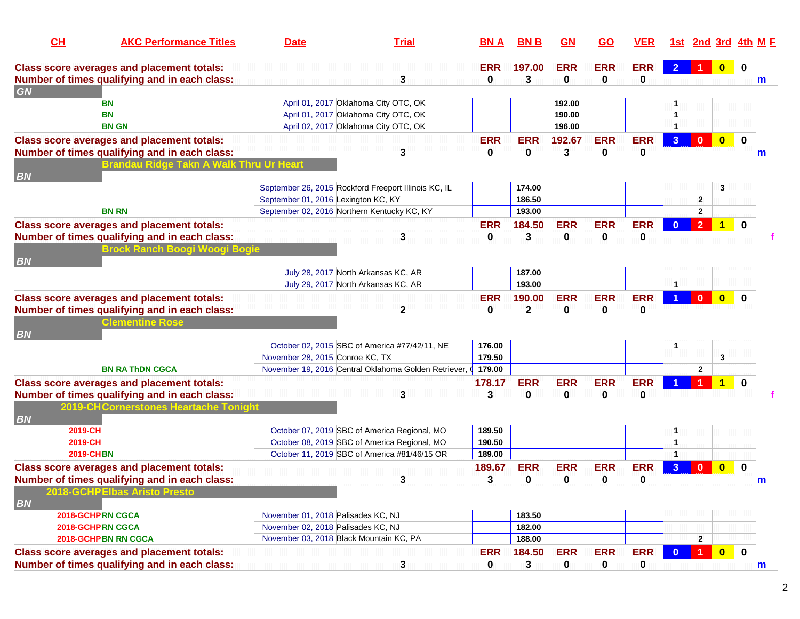| CH                   | <b>AKC Performance Titles</b>                                                                      | <b>Date</b>                                 | <b>Trial</b>                                           | <b>BNA</b> | <b>BNB</b>       | GN           | <u>GO</u>  | <b>VER</b> |                      |                      |                         | <u>1st 2nd 3rd 4th M F</u> |
|----------------------|----------------------------------------------------------------------------------------------------|---------------------------------------------|--------------------------------------------------------|------------|------------------|--------------|------------|------------|----------------------|----------------------|-------------------------|----------------------------|
|                      | <b>Class score averages and placement totals:</b>                                                  |                                             |                                                        | <b>ERR</b> | 197.00           | <b>ERR</b>   | <b>ERR</b> | <b>ERR</b> | $\overline{2}$       | $\blacktriangleleft$ | $\overline{\mathbf{0}}$ | $\bf{0}$                   |
|                      | Number of times qualifying and in each class:                                                      |                                             | 3                                                      | 0          | 3                | $\bf{0}$     | 0          | 0          |                      |                      |                         | m                          |
| GN                   |                                                                                                    |                                             |                                                        |            |                  |              |            |            |                      |                      |                         |                            |
|                      | BN                                                                                                 |                                             | April 01, 2017 Oklahoma City OTC, OK                   |            |                  | 192.00       |            |            |                      |                      |                         |                            |
|                      | <b>BN</b>                                                                                          |                                             | April 01, 2017 Oklahoma City OTC, OK                   |            |                  | 190.00       |            |            | $\blacktriangleleft$ |                      |                         |                            |
|                      | <b>BN GN</b>                                                                                       |                                             | April 02, 2017 Oklahoma City OTC, OK                   |            |                  | 196.00       |            |            | $\blacktriangleleft$ |                      |                         |                            |
|                      | <b>Class score averages and placement totals:</b>                                                  |                                             |                                                        | <b>ERR</b> | <b>ERR</b>       | 192.67       | <b>ERR</b> | <b>ERR</b> | 3 <sup>1</sup>       | $\mathbf{0}$         | $\overline{\mathbf{0}}$ | $\mathbf 0$                |
|                      | Number of times qualifying and in each class:                                                      |                                             | 3                                                      | $\bf{0}$   | 0                | $\mathbf{3}$ | 0          | 0          |                      |                      |                         | m                          |
|                      | Brandau Ridge Takn A Walk Th                                                                       |                                             |                                                        |            |                  |              |            |            |                      |                      |                         |                            |
| <b>BN</b>            |                                                                                                    |                                             |                                                        |            |                  |              |            |            |                      |                      |                         |                            |
|                      |                                                                                                    |                                             | September 26, 2015 Rockford Freeport Illinois KC, IL   |            | 174.00           |              |            |            |                      |                      | 3                       |                            |
|                      |                                                                                                    | September 01, 2016 Lexington KC, KY         |                                                        |            | 186.50           |              |            |            |                      | $\mathbf{2}$         |                         |                            |
|                      | <b>BN RN</b>                                                                                       | September 02, 2016 Northern Kentucky KC, KY |                                                        |            | 193.00           |              |            |            |                      | $\mathbf{2}$         |                         |                            |
|                      | <b>Class score averages and placement totals:</b>                                                  |                                             |                                                        | <b>ERR</b> | 184.50           | <b>ERR</b>   | <b>ERR</b> | <b>ERR</b> | $\mathbf{0}$         | 2 <sup>7</sup>       | $\blacktriangleleft$    | $\mathbf 0$                |
|                      | Number of times qualifying and in each class:                                                      |                                             | 3                                                      | 0          | 3                | $\bf{0}$     | 0          | 0          |                      |                      |                         |                            |
|                      | Brock Ranch Boogi Woogi Bogie                                                                      |                                             |                                                        |            |                  |              |            |            |                      |                      |                         |                            |
| <b>BN</b>            |                                                                                                    |                                             |                                                        |            |                  |              |            |            |                      |                      |                         |                            |
|                      |                                                                                                    |                                             | July 28, 2017 North Arkansas KC, AR                    |            | 187.00<br>193.00 |              |            |            | $\overline{1}$       |                      |                         |                            |
|                      |                                                                                                    |                                             | July 29, 2017 North Arkansas KC, AR                    |            |                  |              |            |            |                      |                      |                         |                            |
|                      | <b>Class score averages and placement totals:</b>                                                  |                                             |                                                        | <b>ERR</b> | 190.00           | <b>ERR</b>   | <b>ERR</b> | <b>ERR</b> |                      | $\mathbf{0}$         | $\overline{0}$          | $\mathbf{0}$               |
|                      | Number of times qualifying and in each class:                                                      |                                             | $\mathbf{2}$                                           | 0          | $\mathbf{2}$     | 0            | 0          | 0          |                      |                      |                         |                            |
|                      | <b>Clementine Rose</b>                                                                             |                                             |                                                        |            |                  |              |            |            |                      |                      |                         |                            |
| <b>BN</b>            |                                                                                                    |                                             | October 02, 2015 SBC of America #77/42/11, NE          | 176.00     |                  |              |            |            | 1                    |                      |                         |                            |
|                      |                                                                                                    | November 28, 2015 Conroe KC, TX             |                                                        | 179.50     |                  |              |            |            |                      |                      | 3                       |                            |
|                      | <b>BN RA ThDN CGCA</b>                                                                             |                                             | November 19, 2016 Central Oklahoma Golden Retriever, 0 | 179.00     |                  |              |            |            |                      | $\mathbf{2}$         |                         |                            |
|                      |                                                                                                    |                                             |                                                        |            |                  |              |            |            |                      |                      |                         |                            |
|                      | <b>Class score averages and placement totals:</b>                                                  |                                             |                                                        | 178.17     | <b>ERR</b>       | <b>ERR</b>   | <b>ERR</b> | <b>ERR</b> |                      |                      | $\blacktriangleleft$    | $\bf{0}$                   |
|                      | Number of times qualifying and in each class:                                                      |                                             | 3                                                      | 3          | 0                | 0            | 0          | 0          |                      |                      |                         |                            |
|                      | 2019-CH Cornerstones Heartache Tonight                                                             |                                             |                                                        |            |                  |              |            |            |                      |                      |                         |                            |
| <b>BN</b><br>2019-CH |                                                                                                    |                                             | October 07, 2019 SBC of America Regional, MO           | 189.50     |                  |              |            |            | $\mathbf{1}$         |                      |                         |                            |
| 2019-CH              |                                                                                                    |                                             | October 08, 2019 SBC of America Regional, MO           | 190.50     |                  |              |            |            | $\mathbf{1}$         |                      |                         |                            |
|                      | <b>2019-CHBN</b>                                                                                   |                                             | October 11, 2019 SBC of America #81/46/15 OR           | 189.00     |                  |              |            |            | $\blacktriangleleft$ |                      |                         |                            |
|                      |                                                                                                    |                                             |                                                        | 189.67     | <b>ERR</b>       | <b>ERR</b>   | <b>ERR</b> | <b>ERR</b> | 3 <sup>1</sup>       | $\mathbf{0}$         | $\bf{0}$                | $\bf{0}$                   |
|                      | <b>Class score averages and placement totals:</b><br>Number of times qualifying and in each class: |                                             |                                                        | 3          | $\pmb{0}$        | $\mathbf 0$  | 0          |            |                      |                      |                         |                            |
|                      | 2018-GCHP Elbas Aristo Presto                                                                      |                                             | 3                                                      |            |                  |              |            | 0          |                      |                      |                         | m                          |
| <b>BN</b>            |                                                                                                    |                                             |                                                        |            |                  |              |            |            |                      |                      |                         |                            |
|                      | 2018-GCHPRN CGCA                                                                                   | November 01, 2018 Palisades KC, NJ          |                                                        |            | 183.50           |              |            |            |                      |                      |                         |                            |
|                      | 2018-GCHPRN CGCA                                                                                   | November 02, 2018 Palisades KC, NJ          |                                                        |            | 182.00           |              |            |            |                      |                      |                         |                            |
|                      | 2018-GCHP BN RN CGCA                                                                               | November 03, 2018 Black Mountain KC, PA     |                                                        |            | 188.00           |              |            |            |                      | $\mathbf{2}$         |                         |                            |
|                      | <b>Class score averages and placement totals:</b>                                                  |                                             |                                                        | <b>ERR</b> | 184.50           | <b>ERR</b>   | <b>ERR</b> | <b>ERR</b> | $\mathbf{0}$         | $\blacklozenge$      | $\bullet$               | $\mathbf 0$                |
|                      | Number of times qualifying and in each class:                                                      |                                             | 3                                                      | 0          | 3                | $\pmb{0}$    | 0          | 0          |                      |                      |                         | m                          |
|                      |                                                                                                    |                                             |                                                        |            |                  |              |            |            |                      |                      |                         |                            |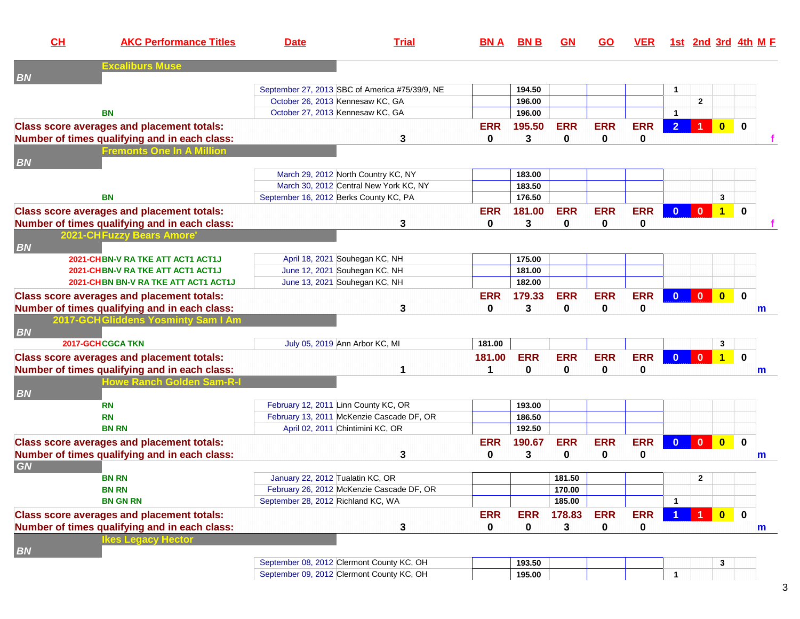| CL        | <b>AKC Performance Titles</b>                     | <b>Date</b>                            | <b>Trial</b>                                   | <b>BNA</b>   | <b>BNB</b> | <b>GN</b>   | <b>GO</b>  | <b>VER</b> |                      |                      |                         | <u>1st 2nd 3rd 4th M F</u> |
|-----------|---------------------------------------------------|----------------------------------------|------------------------------------------------|--------------|------------|-------------|------------|------------|----------------------|----------------------|-------------------------|----------------------------|
| <b>BN</b> | <b>Excaliburs Muse</b>                            |                                        |                                                |              |            |             |            |            |                      |                      |                         |                            |
|           |                                                   |                                        | September 27, 2013 SBC of America #75/39/9, NE |              | 194.50     |             |            |            | $\mathbf{1}$         |                      |                         |                            |
|           |                                                   | October 26, 2013 Kennesaw KC, GA       |                                                |              | 196.00     |             |            |            |                      | $\overline{2}$       |                         |                            |
|           | <b>BN</b>                                         | October 27, 2013 Kennesaw KC, GA       |                                                |              | 196.00     |             |            |            | $\blacktriangleleft$ |                      |                         |                            |
|           | <b>Class score averages and placement totals:</b> |                                        |                                                | <b>ERR</b>   | 195.50     | <b>ERR</b>  | <b>ERR</b> | <b>ERR</b> | $\overline{2}$       |                      | $\overline{0}$          | $\bf{0}$                   |
|           | Number of times qualifying and in each class:     |                                        | 3                                              | 0            | 3          | 0           | 0          | 0          |                      |                      |                         |                            |
|           | <b>Fremonts One In A Million</b>                  |                                        |                                                |              |            |             |            |            |                      |                      |                         |                            |
| <b>BN</b> |                                                   |                                        |                                                |              |            |             |            |            |                      |                      |                         |                            |
|           |                                                   |                                        | March 29, 2012 North Country KC, NY            |              | 183.00     |             |            |            |                      |                      |                         |                            |
|           |                                                   |                                        | March 30, 2012 Central New York KC, NY         |              | 183.50     |             |            |            |                      |                      |                         |                            |
|           | <b>BN</b>                                         | September 16, 2012 Berks County KC, PA |                                                |              | 176.50     |             |            |            |                      |                      | $\mathbf{3}$            |                            |
|           | <b>Class score averages and placement totals:</b> |                                        |                                                | <b>ERR</b>   | 181.00     | <b>ERR</b>  | <b>ERR</b> | <b>ERR</b> | $\Omega$             | $\mathbf{0}$         | $\overline{1}$          | $\bf{0}$                   |
|           | Number of times qualifying and in each class:     |                                        | 3                                              | $\mathbf{0}$ | 3          | 0           | 0          | 0          |                      |                      |                         |                            |
| <b>BN</b> | <b>2021-CHFuzzy Bears Amore</b>                   |                                        |                                                |              |            |             |            |            |                      |                      |                         |                            |
|           | 2021-CHBN-V RA TKE ATT ACT1 ACT1J                 |                                        | April 18, 2021 Souhegan KC, NH                 |              | 175.00     |             |            |            |                      |                      |                         |                            |
|           | 2021-CHBN-V RA TKE ATT ACT1 ACT1J                 |                                        | June 12, 2021 Souhegan KC, NH                  |              | 181.00     |             |            |            |                      |                      |                         |                            |
|           | 2021-CHBN BN-V RA TKE ATT ACT1 ACT1J              |                                        | June 13, 2021 Souhegan KC, NH                  |              | 182.00     |             |            |            |                      |                      |                         |                            |
|           | <b>Class score averages and placement totals:</b> |                                        |                                                | <b>ERR</b>   | 179.33     | <b>ERR</b>  | <b>ERR</b> | <b>ERR</b> | $\mathbf{0}$         | $\mathbf{0}$         | $\overline{\mathbf{0}}$ | $\mathbf 0$                |
|           | Number of times qualifying and in each class:     |                                        | 3                                              | $\bf{0}$     | 3          | $\mathbf 0$ | 0          | 0          |                      |                      |                         | m                          |
|           | 2017-GCHGliddens Yosminty Sam I Am                |                                        |                                                |              |            |             |            |            |                      |                      |                         |                            |
| <b>BN</b> |                                                   |                                        |                                                |              |            |             |            |            |                      |                      |                         |                            |
|           | <b>2017-GCHCGCA TKN</b>                           |                                        | July 05, 2019 Ann Arbor KC, MI                 | 181.00       |            |             |            |            |                      |                      | 3                       |                            |
|           | <b>Class score averages and placement totals:</b> |                                        |                                                | 181.00       | <b>ERR</b> | <b>ERR</b>  | <b>ERR</b> | <b>ERR</b> | $\mathbf{0}$         | $\mathbf{0}$         | $\overline{1}$          | $\mathbf 0$                |
|           | Number of times qualifying and in each class:     |                                        | 1                                              | 1            | 0          | 0           | 0          | 0          |                      |                      |                         | m                          |
|           | <b>Howe Ranch Golden Sam-R-I</b>                  |                                        |                                                |              |            |             |            |            |                      |                      |                         |                            |
| <b>BN</b> |                                                   |                                        |                                                |              |            |             |            |            |                      |                      |                         |                            |
|           | <b>RN</b>                                         | February 12, 2011 Linn County KC, OR   |                                                |              | 193.00     |             |            |            |                      |                      |                         |                            |
|           | <b>RN</b>                                         |                                        | February 13, 2011 McKenzie Cascade DF, OR      |              | 186.50     |             |            |            |                      |                      |                         |                            |
|           | <b>BN RN</b>                                      |                                        | April 02, 2011 Chintimini KC, OR               |              | 192.50     |             |            |            |                      |                      |                         |                            |
|           | <b>Class score averages and placement totals:</b> |                                        |                                                | <b>ERR</b>   | 190.67     | <b>ERR</b>  | <b>ERR</b> | <b>ERR</b> | $\mathbf{0}$         | $\mathbf{0}$         | $\overline{\mathbf{0}}$ | $\mathbf 0$                |
|           | Number of times qualifying and in each class:     |                                        | 3                                              | $\bf{0}$     | 3          | 0           | 0          | 0          |                      |                      |                         | m                          |
| <b>GN</b> |                                                   |                                        |                                                |              |            |             |            |            |                      |                      |                         |                            |
|           | <b>BN RN</b>                                      | January 22, 2012 Tualatin KC, OR       |                                                |              |            | 181.50      |            |            |                      | $\mathbf{2}$         |                         |                            |
|           | <b>BN RN</b>                                      |                                        | February 26, 2012 McKenzie Cascade DF, OR      |              |            | 170.00      |            |            |                      |                      |                         |                            |
|           | <b>BN GN RN</b>                                   | September 28, 2012 Richland KC, WA     |                                                |              |            | 185.00      |            |            | $\mathbf{1}$         |                      |                         |                            |
|           | <b>Class score averages and placement totals:</b> |                                        |                                                | <b>ERR</b>   | <b>ERR</b> | 178.83      | <b>ERR</b> | <b>ERR</b> |                      | $\blacktriangleleft$ | $\overline{\mathbf{0}}$ | $\mathbf 0$                |
|           | Number of times qualifying and in each class:     |                                        | 3                                              | 0            | $\pmb{0}$  | 3           | 0          | 0          |                      |                      |                         | m                          |
|           | kes Legacy Hector                                 |                                        |                                                |              |            |             |            |            |                      |                      |                         |                            |
| <b>BN</b> |                                                   |                                        |                                                |              |            |             |            |            |                      |                      |                         |                            |
|           |                                                   |                                        | September 08, 2012 Clermont County KC, OH      |              | 193.50     |             |            |            |                      |                      | 3                       |                            |
|           |                                                   |                                        | September 09, 2012 Clermont County KC, OH      |              | 195.00     |             |            |            | 1                    |                      |                         |                            |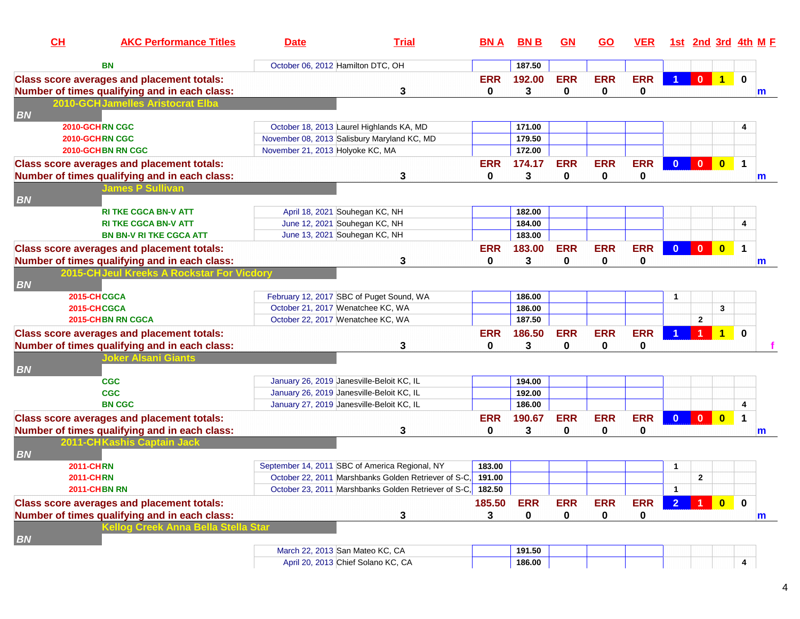| CH<br><b>AKC Performance Titles</b>               | <b>Date</b>                       | <b>Trial</b>                                         | <b>BN A</b>  | <b>BNB</b>  | <b>GN</b>   | <b>GO</b>  | <u>VER</u>  |                         |                         |                         | <u>1st 2nd 3rd 4th M F</u> |
|---------------------------------------------------|-----------------------------------|------------------------------------------------------|--------------|-------------|-------------|------------|-------------|-------------------------|-------------------------|-------------------------|----------------------------|
| BN                                                | October 06, 2012 Hamilton DTC, OH |                                                      |              | 187.50      |             |            |             |                         |                         |                         |                            |
| <b>Class score averages and placement totals:</b> |                                   |                                                      | <b>ERR</b>   | 192.00      | <b>ERR</b>  | <b>ERR</b> | <b>ERR</b>  |                         | $\mathbf{0}$            | $\overline{1}$          | $\bf{0}$                   |
| Number of times qualifying and in each class:     |                                   | 3                                                    | 0            | 3           | $\mathbf 0$ | 0          | 0           |                         |                         |                         | m                          |
| 2010-GCHJamelles Aristocrat Elba                  |                                   |                                                      |              |             |             |            |             |                         |                         |                         |                            |
| <b>BN</b>                                         |                                   |                                                      |              |             |             |            |             |                         |                         |                         |                            |
| 2010-GCHRN CGC                                    |                                   | October 18, 2013 Laurel Highlands KA, MD             |              | 171.00      |             |            |             |                         |                         |                         |                            |
| 2010-GCHRN CGC                                    |                                   | November 08, 2013 Salisbury Maryland KC, MD          |              | 179.50      |             |            |             |                         |                         |                         |                            |
| 2010-GCHBN RN CGC                                 | November 21, 2013 Holyoke KC, MA  |                                                      |              | 172.00      |             |            |             |                         |                         |                         |                            |
| <b>Class score averages and placement totals:</b> |                                   |                                                      | <b>ERR</b>   | 174.17      | <b>ERR</b>  | <b>ERR</b> | <b>ERR</b>  | $\mathbf{0}$            | $\mathbf{0}$            | $\overline{\mathbf{0}}$ | 1                          |
| Number of times qualifying and in each class:     |                                   | 3                                                    | 0            | 3           | 0           | 0          | 0           |                         |                         |                         | m                          |
| <b>James P Sullivan</b>                           |                                   |                                                      |              |             |             |            |             |                         |                         |                         |                            |
| <b>BN</b>                                         |                                   |                                                      |              |             |             |            |             |                         |                         |                         |                            |
| <b>RI TKE CGCA BN-V ATT</b>                       | April 18, 2021 Souhegan KC, NH    |                                                      |              | 182.00      |             |            |             |                         |                         |                         |                            |
| <b>RI TKE CGCA BN-V ATT</b>                       | June 12, 2021 Souhegan KC, NH     |                                                      |              | 184.00      |             |            |             |                         |                         |                         | 4                          |
| <b>BN BN-V RI TKE CGCA ATT</b>                    | June 13, 2021 Souhegan KC, NH     |                                                      |              | 183.00      |             |            |             |                         |                         |                         |                            |
| <b>Class score averages and placement totals:</b> |                                   |                                                      | <b>ERR</b>   | 183.00      | <b>ERR</b>  | <b>ERR</b> | <b>ERR</b>  | $\overline{\mathbf{0}}$ | $\mathbf{0}$            | $\overline{\mathbf{0}}$ | $\mathbf 1$                |
| Number of times qualifying and in each class:     |                                   | 3                                                    | 0            | 3           | 0           | 0          | 0           |                         |                         |                         | m                          |
| 2015-CHJeul Kreeks A Rockstar For Vicdor          |                                   |                                                      |              |             |             |            |             |                         |                         |                         |                            |
| <b>BN</b>                                         |                                   |                                                      |              |             |             |            |             |                         |                         |                         |                            |
| 2015-CHCGCA                                       |                                   | February 12, 2017 SBC of Puget Sound, WA             |              | 186.00      |             |            |             | $\mathbf 1$             |                         |                         |                            |
| 2015-CHCGCA                                       | October 21, 2017 Wenatchee KC, WA |                                                      |              | 186.00      |             |            |             |                         |                         | 3                       |                            |
| 2015-CHBN RN CGCA                                 | October 22, 2017 Wenatchee KC, WA |                                                      |              | 187.50      |             |            |             |                         | $\overline{2}$          |                         |                            |
| <b>Class score averages and placement totals:</b> |                                   |                                                      | <b>ERR</b>   | 186.50      | <b>ERR</b>  | <b>ERR</b> | <b>ERR</b>  |                         | $\blacktriangleleft$    | $\overline{1}$          | $\mathbf{0}$               |
| Number of times qualifying and in each class:     |                                   | 3                                                    | $\mathbf{0}$ | 3           | 0           | 0          | 0           |                         |                         |                         |                            |
| <b>Joker Alsani Giants</b>                        |                                   |                                                      |              |             |             |            |             |                         |                         |                         |                            |
| <b>BN</b>                                         |                                   |                                                      |              |             |             |            |             |                         |                         |                         |                            |
| <b>CGC</b>                                        |                                   | January 26, 2019 Janesville-Beloit KC, IL            |              | 194.00      |             |            |             |                         |                         |                         |                            |
| <b>CGC</b>                                        |                                   | January 26, 2019 Janesville-Beloit KC, IL            |              | 192.00      |             |            |             |                         |                         |                         |                            |
| <b>BN CGC</b>                                     |                                   | January 27, 2019 Janesville-Beloit KC, IL            |              | 186.00      |             |            |             |                         |                         |                         | 4                          |
| <b>Class score averages and placement totals:</b> |                                   |                                                      | <b>ERR</b>   | 190.67      | <b>ERR</b>  | <b>ERR</b> | <b>ERR</b>  | $\mathbf{0}$            | $\overline{\mathbf{0}}$ | $\overline{\mathbf{0}}$ | $\mathbf 1$                |
| Number of times qualifying and in each class:     |                                   | 3                                                    | 0            | 3           | 0           | 0          | 0           |                         |                         |                         | m                          |
| 2011-CHKashis Captain Jack                        |                                   |                                                      |              |             |             |            |             |                         |                         |                         |                            |
| <b>BN</b>                                         |                                   |                                                      |              |             |             |            |             |                         |                         |                         |                            |
| <b>2011-CHRN</b>                                  |                                   | September 14, 2011 SBC of America Regional, NY       | 183.00       |             |             |            |             | 1                       |                         |                         |                            |
| <b>2011-CHRN</b>                                  |                                   | October 22, 2011 Marshbanks Golden Retriever of S-C. | 191.00       |             |             |            |             |                         | $\overline{2}$          |                         |                            |
| <b>2011-CHBN RN</b>                               |                                   | October 23, 2011 Marshbanks Golden Retriever of S-C, | 182.50       |             |             |            |             | $\mathbf{1}$            |                         |                         |                            |
| <b>Class score averages and placement totals:</b> |                                   |                                                      | 185.50       | <b>ERR</b>  | <b>ERR</b>  | <b>ERR</b> | <b>ERR</b>  | 2 <sup>1</sup>          | $\blacktriangleleft$    | $\bullet$               | $\mathbf 0$                |
| Number of times qualifying and in each class:     |                                   | 3                                                    | 3            | $\mathbf 0$ | 0           | 0          | $\mathbf 0$ |                         |                         |                         | m                          |
| Kellog Creek Anna Bella Stella Star               |                                   |                                                      |              |             |             |            |             |                         |                         |                         |                            |
| <b>BN</b>                                         |                                   |                                                      |              |             |             |            |             |                         |                         |                         |                            |
|                                                   | March 22, 2013 San Mateo KC, CA   |                                                      |              | 191.50      |             |            |             |                         |                         |                         |                            |
|                                                   |                                   | April 20, 2013 Chief Solano KC, CA                   |              | 186.00      |             |            |             |                         |                         |                         | 4                          |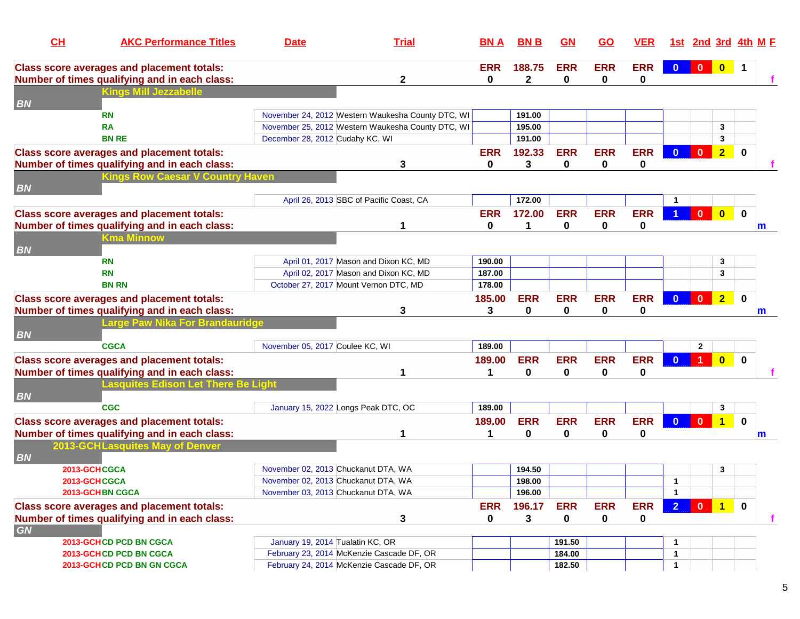| CH        | <b>AKC Performance Titles</b>                                                                      | <b>Date</b>                           | <b>Trial</b>                                      | <b>BN A</b>                    | <b>BNB</b>      | GM                        | <u>GO</u>                  | <b>VER</b>             |                | 1st 2nd 3rd 4th M F                                                          |                         |                |              |
|-----------|----------------------------------------------------------------------------------------------------|---------------------------------------|---------------------------------------------------|--------------------------------|-----------------|---------------------------|----------------------------|------------------------|----------------|------------------------------------------------------------------------------|-------------------------|----------------|--------------|
|           | <b>Class score averages and placement totals:</b>                                                  |                                       |                                                   | <b>ERR</b>                     | 188.75          | <b>ERR</b>                | <b>ERR</b>                 | <b>ERR</b>             | $\mathbf{0}$   | $\begin{array}{ c c c c c }\n\hline\n0&\mathbf{0} & \mathbf{0}\n\end{array}$ |                         | $\overline{1}$ |              |
| <b>BN</b> | Number of times qualifying and in each class:<br><b>Kings Mill Jezzabelle</b>                      |                                       | 2                                                 | 0                              | $\mathbf{2}$    | 0                         | 0                          | 0                      |                |                                                                              |                         |                |              |
|           | <b>RN</b>                                                                                          |                                       | November 24, 2012 Western Waukesha County DTC, WI |                                | 191.00          |                           |                            |                        |                |                                                                              |                         |                |              |
|           | <b>RA</b>                                                                                          |                                       | November 25, 2012 Western Waukesha County DTC, WI |                                | 195.00          |                           |                            |                        |                |                                                                              | 3                       |                |              |
|           | <b>BN RE</b>                                                                                       | December 28, 2012 Cudahy KC, WI       |                                                   |                                | 191.00          |                           |                            |                        |                |                                                                              | 3                       |                |              |
|           | <b>Class score averages and placement totals:</b><br>Number of times qualifying and in each class: |                                       | 3                                                 | <b>ERR</b><br>0                | 192.33<br>3     | <b>ERR</b><br>$\mathbf 0$ | <b>ERR</b><br>$\bf{0}$     | <b>ERR</b><br>0        | $\Omega$       | $\mathbf{0}$                                                                 | $\overline{2}$          | 0              |              |
| <b>BN</b> | <b>Kings Row Caesar V Country Haven</b>                                                            |                                       |                                                   |                                |                 |                           |                            |                        |                |                                                                              |                         |                |              |
|           |                                                                                                    |                                       | April 26, 2013 SBC of Pacific Coast, CA           |                                | 172.00          |                           |                            |                        |                |                                                                              |                         |                |              |
|           | <b>Class score averages and placement totals:</b><br>Number of times qualifying and in each class: |                                       | 1                                                 | <b>ERR</b><br>$\bf{0}$         | 172.00<br>1     | <b>ERR</b><br>$\mathbf 0$ | <b>ERR</b><br>$\mathbf{0}$ | <b>ERR</b><br>0        |                | $0-1$                                                                        | $\overline{\mathbf{0}}$ | $\mathbf 0$    | m            |
| <b>BN</b> | Kma Minnow                                                                                         |                                       |                                                   |                                |                 |                           |                            |                        |                |                                                                              |                         |                |              |
|           | <b>RN</b>                                                                                          |                                       | April 01, 2017 Mason and Dixon KC, MD             | 190.00                         |                 |                           |                            |                        |                |                                                                              | 3                       |                |              |
|           | <b>RN</b>                                                                                          |                                       | April 02, 2017 Mason and Dixon KC, MD             | 187.00                         |                 |                           |                            |                        |                |                                                                              | 3                       |                |              |
|           | <b>BN RN</b>                                                                                       | October 27, 2017 Mount Vernon DTC, MD |                                                   | 178.00                         |                 |                           |                            |                        |                |                                                                              |                         |                |              |
|           | <b>Class score averages and placement totals:</b>                                                  |                                       |                                                   | 185.00                         | <b>ERR</b>      | <b>ERR</b>                | <b>ERR</b>                 | <b>ERR</b>             | $\mathbf{0}$   | $\mathbf{0}$                                                                 | $\overline{2}$          | $\bf{0}$       |              |
|           | Number of times qualifying and in each class:                                                      |                                       | 3                                                 | 3                              | 0               | $\mathbf 0$               | $\bf{0}$                   | 0                      |                |                                                                              |                         |                | m            |
| <b>BN</b> | Large Paw Nika For Brandauridge                                                                    |                                       |                                                   |                                |                 |                           |                            |                        |                |                                                                              |                         |                |              |
|           | <b>CGCA</b>                                                                                        | November 05, 2017 Coulee KC, WI       |                                                   | 189.00                         |                 |                           |                            |                        |                | $\mathbf{2}$                                                                 |                         |                |              |
|           | <b>Class score averages and placement totals:</b>                                                  |                                       |                                                   | 189.00                         | <b>ERR</b>      | <b>ERR</b>                | <b>ERR</b>                 | <b>ERR</b>             | $\Omega$       | 1                                                                            | $\overline{\mathbf{0}}$ | $\mathbf 0$    |              |
|           | Number of times qualifying and in each class:                                                      |                                       | 1                                                 | 1                              | 0               | 0                         | 0                          | 0                      |                |                                                                              |                         |                |              |
| <b>BN</b> | Lasquites Edison Let There Be Light                                                                |                                       |                                                   |                                |                 |                           |                            |                        |                |                                                                              |                         |                |              |
|           | <b>CGC</b>                                                                                         | January 15, 2022 Longs Peak DTC, OC   |                                                   | 189.00                         |                 |                           |                            |                        |                |                                                                              | 3                       |                |              |
|           | <b>Class score averages and placement totals:</b><br>Number of times qualifying and in each class: |                                       | 1                                                 | 189.00<br>$\blacktriangleleft$ | <b>ERR</b><br>0 | <b>ERR</b><br>$\pmb{0}$   | <b>ERR</b><br>0            | <b>ERR</b><br>0        | $\mathbf{0}$   | $\overline{\mathbf{0}}$                                                      | $\overline{1}$          | $\mathbf 0$    |              |
|           | 2013-GCHLasquites May of Denver                                                                    |                                       |                                                   |                                |                 |                           |                            |                        |                |                                                                              |                         |                | $\mathsf{m}$ |
| <b>BN</b> | 2013-GCHCGCA                                                                                       | November 02, 2013 Chuckanut DTA, WA   |                                                   |                                | 194.50          |                           |                            |                        |                |                                                                              | 3                       |                |              |
|           | 2013-GCHCGCA                                                                                       | November 02, 2013 Chuckanut DTA, WA   |                                                   |                                | 198.00          |                           |                            |                        | $\overline{1}$ |                                                                              |                         |                |              |
|           | 2013-GCHBN CGCA                                                                                    | November 03, 2013 Chuckanut DTA, WA   |                                                   |                                | 196.00          |                           |                            |                        | $\overline{1}$ |                                                                              |                         |                |              |
|           | <b>Class score averages and placement totals:</b><br>Number of times qualifying and in each class: |                                       | 3                                                 | <b>ERR</b><br>0                | 196.17<br>3     | <b>ERR</b><br>0           | <b>ERR</b><br>0            | <b>ERR</b><br>$\bf{0}$ | 2 <sup>1</sup> |                                                                              | 0 1 0                   |                | f            |
| GN        |                                                                                                    |                                       |                                                   |                                |                 |                           |                            |                        |                |                                                                              |                         |                |              |
|           | 2013-GCHCD PCD BN CGCA                                                                             | January 19, 2014 Tualatin KC, OR      |                                                   |                                |                 | 191.50                    |                            |                        | -1             |                                                                              |                         |                |              |
|           | 2013-GCHCD PCD BN CGCA                                                                             |                                       | February 23, 2014 McKenzie Cascade DF, OR         |                                |                 | 184.00                    |                            |                        | $\mathbf{1}$   |                                                                              |                         |                |              |
|           | 2013-GCHCD PCD BN GN CGCA                                                                          |                                       | February 24, 2014 McKenzie Cascade DF, OR         |                                |                 | 182.50                    |                            |                        | -1             |                                                                              |                         |                |              |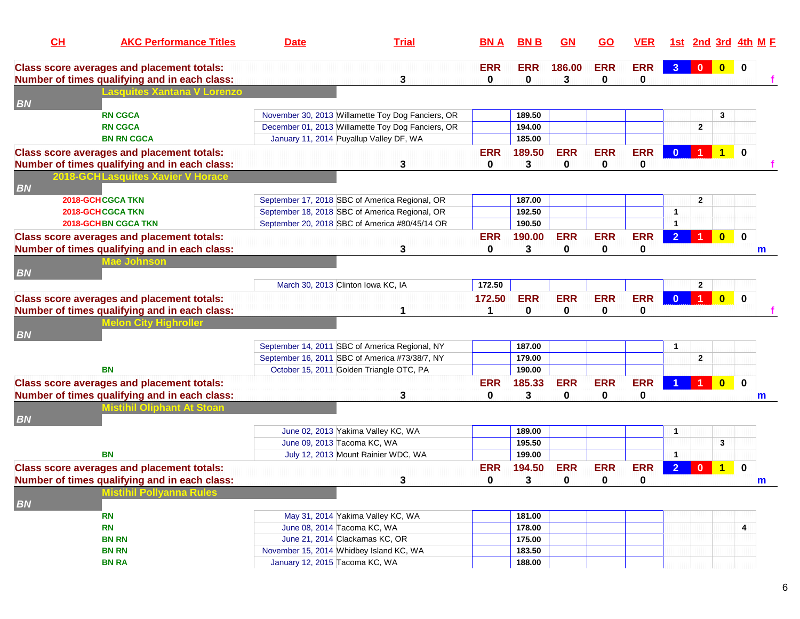| CH        | <b>AKC Performance Titles</b>                     | <b>Date</b>                                    | <b>Trial</b>                                      | <b>BNA</b> | <b>BNB</b>       | GN         | <u>GO</u>  | <b>VER</b> |                |                         |                         | 1st 2nd 3rd 4th M E |   |
|-----------|---------------------------------------------------|------------------------------------------------|---------------------------------------------------|------------|------------------|------------|------------|------------|----------------|-------------------------|-------------------------|---------------------|---|
|           | <b>Class score averages and placement totals:</b> |                                                |                                                   | <b>ERR</b> | <b>ERR</b>       | 186.00     | <b>ERR</b> | <b>ERR</b> | 3 <sup>°</sup> | $\overline{\mathbf{0}}$ | $\overline{\mathbf{0}}$ | $\bf{0}$            |   |
|           | Number of times qualifying and in each class:     |                                                | 3                                                 | 0          | 0                | 3          | 0          | 0          |                |                         |                         |                     |   |
| <b>BN</b> | <b>Lasquites Xantana V Lorenzo</b>                |                                                |                                                   |            |                  |            |            |            |                |                         |                         |                     |   |
|           | <b>RN CGCA</b>                                    |                                                | November 30, 2013 Willamette Toy Dog Fanciers, OR |            | 189.50           |            |            |            |                |                         | 3                       |                     |   |
|           | <b>RN CGCA</b>                                    |                                                | December 01, 2013 Willamette Toy Dog Fanciers, OR |            | 194.00           |            |            |            |                | $\overline{2}$          |                         |                     |   |
|           | <b>BN RN CGCA</b>                                 | January 11, 2014 Puyallup Valley DF, WA        |                                                   |            | 185.00           |            |            |            |                |                         |                         |                     |   |
|           | <b>Class score averages and placement totals:</b> |                                                |                                                   | <b>ERR</b> | 189.50           | <b>ERR</b> | <b>ERR</b> | <b>ERR</b> | $\Omega$       | 1                       | $\blacktriangleleft$    | $\bf{0}$            |   |
|           | Number of times qualifying and in each class:     |                                                | 3                                                 | 0          | 3                | 0          | 0          | 0          |                |                         |                         |                     |   |
|           | 2018-GCHLasquites Xavier V Horace                 |                                                |                                                   |            |                  |            |            |            |                |                         |                         |                     |   |
| <b>BN</b> | <b>2018-GCHCGCA TKN</b>                           |                                                | September 17, 2018 SBC of America Regional, OR    |            | 187.00           |            |            |            |                | $\mathbf{2}$            |                         |                     |   |
|           | 2018-GCHCGCA TKN                                  |                                                | September 18, 2018 SBC of America Regional, OR    |            | 192.50           |            |            |            | $\mathbf{1}$   |                         |                         |                     |   |
|           | <b>2018-GCHBN CGCA TKN</b>                        |                                                | September 20, 2018 SBC of America #80/45/14 OR    |            | 190.50           |            |            |            | $\mathbf{1}$   |                         |                         |                     |   |
|           | <b>Class score averages and placement totals:</b> |                                                |                                                   | <b>ERR</b> | 190.00           | <b>ERR</b> | <b>ERR</b> | <b>ERR</b> | $\overline{2}$ |                         | $\overline{\mathbf{0}}$ | $\mathbf 0$         |   |
|           | Number of times qualifying and in each class:     |                                                | 3                                                 | $\bf{0}$   | 3                | 0          | 0          | 0          |                |                         |                         |                     | m |
|           | <b>Mae Johnson</b>                                |                                                |                                                   |            |                  |            |            |            |                |                         |                         |                     |   |
| <b>BN</b> |                                                   |                                                |                                                   |            |                  |            |            |            |                |                         |                         |                     |   |
|           |                                                   | March 30, 2013 Clinton Iowa KC, IA             |                                                   | 172.50     |                  |            |            |            |                | $\overline{2}$          |                         |                     |   |
|           | <b>Class score averages and placement totals:</b> |                                                |                                                   | 172.50     | <b>ERR</b>       | <b>ERR</b> | <b>ERR</b> | <b>ERR</b> | $\Omega$       | $\overline{1}$          | $\overline{\mathbf{0}}$ | $\mathbf{0}$        |   |
|           | Number of times qualifying and in each class:     |                                                |                                                   | 1          | 0                | 0          | $\bf{0}$   | 0          |                |                         |                         |                     |   |
|           | <b>Melon City Highroller</b>                      |                                                |                                                   |            |                  |            |            |            |                |                         |                         |                     |   |
| <b>BN</b> |                                                   |                                                |                                                   |            |                  |            |            |            |                |                         |                         |                     |   |
|           |                                                   | September 14, 2011 SBC of America Regional, NY |                                                   |            | 187.00           |            |            |            | 1              |                         |                         |                     |   |
|           | <b>BN</b>                                         | September 16, 2011 SBC of America #73/38/7, NY |                                                   |            | 179.00<br>190.00 |            |            |            |                | $\mathbf{2}$            |                         |                     |   |
|           |                                                   | October 15, 2011 Golden Triangle OTC, PA       |                                                   |            |                  |            |            |            |                |                         |                         |                     |   |
|           | <b>Class score averages and placement totals:</b> |                                                |                                                   | <b>ERR</b> | 185.33           | <b>ERR</b> | <b>ERR</b> | <b>ERR</b> |                |                         | $\bf{0}$                | $\mathbf 0$         |   |
|           | Number of times qualifying and in each class:     |                                                | 3                                                 | 0          | 3                | 0          | 0          | 0          |                |                         |                         |                     | m |
| <b>BN</b> | <b>Mistihil Oliphant At Stoan</b>                 |                                                |                                                   |            |                  |            |            |            |                |                         |                         |                     |   |
|           |                                                   | June 02, 2013 Yakima Valley KC, WA             |                                                   |            | 189.00           |            |            |            | $\mathbf 1$    |                         |                         |                     |   |
|           |                                                   | June 09, 2013 Tacoma KC, WA                    |                                                   |            | 195.50           |            |            |            |                |                         | 3                       |                     |   |
|           | ΒN                                                |                                                | July 12, 2013 Mount Rainier WDC, WA               |            | 199.00           |            |            |            | $\mathbf{1}$   |                         |                         |                     |   |
|           | <b>Class score averages and placement totals:</b> |                                                |                                                   | <b>ERR</b> | 194.50           | <b>ERR</b> | <b>ERR</b> | <b>ERR</b> | $\overline{2}$ | $\mathbf{0}$            | $\mathbf 1$             | $\mathbf 0$         |   |
|           | Number of times qualifying and in each class:     |                                                | 3                                                 | 0          | 3                | 0          | 0          | 0          |                |                         |                         |                     | m |
|           | <b>Mistihil Pollyanna Rules</b>                   |                                                |                                                   |            |                  |            |            |            |                |                         |                         |                     |   |
| <b>BN</b> |                                                   |                                                |                                                   |            |                  |            |            |            |                |                         |                         |                     |   |
|           | <b>RN</b>                                         | May 31, 2014 Yakima Valley KC, WA              |                                                   |            | 181.00           |            |            |            |                |                         |                         |                     |   |
|           | <b>RN</b>                                         | June 08, 2014 Tacoma KC, WA                    |                                                   |            | 178.00           |            |            |            |                |                         |                         | 4                   |   |
|           | <b>BN RN</b>                                      | June 21, 2014 Clackamas KC, OR                 |                                                   |            | 175.00           |            |            |            |                |                         |                         |                     |   |
|           | <b>BN RN</b>                                      | November 15, 2014 Whidbey Island KC, WA        |                                                   |            | 183.50           |            |            |            |                |                         |                         |                     |   |
|           | <b>BN RA</b>                                      | January 12, 2015 Tacoma KC, WA                 |                                                   |            | 188.00           |            |            |            |                |                         |                         |                     |   |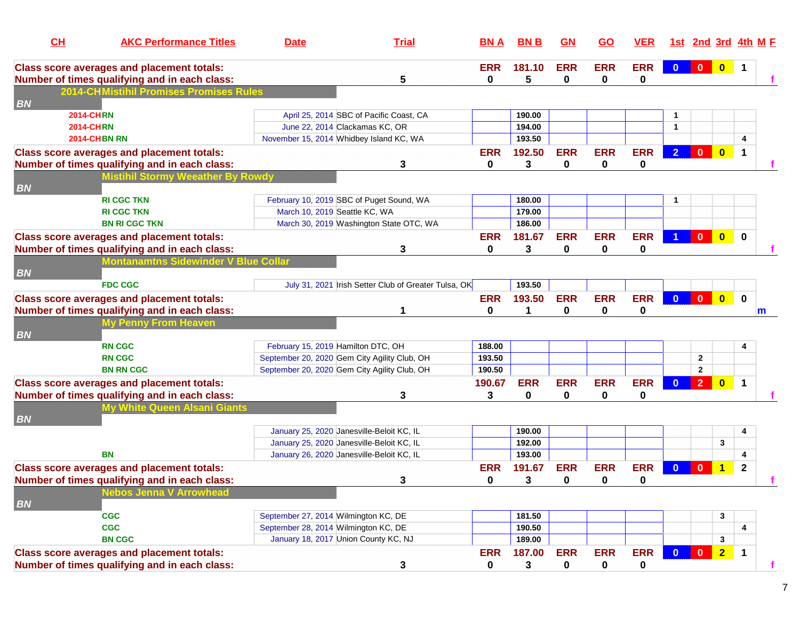| CL        | <b>AKC Performance Titles</b>                                                                      | <b>Date</b>                                  | <b>Trial</b>                                         | <b>BNA</b>      | <b>BNB</b>  | <b>GN</b>       | <b>GO</b>       | <b>VER</b>      |                |                |                         | 1st 2nd 3rd 4th M F  |
|-----------|----------------------------------------------------------------------------------------------------|----------------------------------------------|------------------------------------------------------|-----------------|-------------|-----------------|-----------------|-----------------|----------------|----------------|-------------------------|----------------------|
|           | <b>Class score averages and placement totals:</b><br>Number of times qualifying and in each class: |                                              | 5                                                    | <b>ERR</b><br>0 | 181.10<br>5 | <b>ERR</b><br>0 | <b>ERR</b><br>0 | <b>ERR</b><br>0 | $\mathbf{0}$   |                |                         | $\blacksquare$       |
|           | <b>2014-CHMistihil Promises Promises Rules</b>                                                     |                                              |                                                      |                 |             |                 |                 |                 |                |                |                         |                      |
| <b>BN</b> |                                                                                                    |                                              |                                                      |                 |             |                 |                 |                 |                |                |                         |                      |
|           | <b>2014-CHRN</b>                                                                                   |                                              | April 25, 2014 SBC of Pacific Coast, CA              |                 | 190.00      |                 |                 |                 |                |                |                         |                      |
|           | <b>2014-CHRN</b>                                                                                   | June 22, 2014 Clackamas KC, OR               |                                                      |                 | 194.00      |                 |                 |                 | $\mathbf{1}$   |                |                         |                      |
|           | <b>2014-CHBN RN</b>                                                                                | November 15, 2014 Whidbey Island KC, WA      |                                                      |                 | 193.50      |                 |                 |                 |                |                |                         |                      |
|           | <b>Class score averages and placement totals:</b>                                                  |                                              |                                                      | <b>ERR</b>      | 192.50      | <b>ERR</b>      | <b>ERR</b>      | <b>ERR</b>      | $\overline{2}$ | $\mathbf{0}$   | $\overline{\mathbf{0}}$ | $\blacktriangleleft$ |
|           | Number of times qualifying and in each class:                                                      |                                              | 3                                                    | 0               | 3           | $\mathbf 0$     | 0               | 0               |                |                |                         |                      |
|           | <b>Mistihil Stormy Weeather By Rowdy</b>                                                           |                                              |                                                      |                 |             |                 |                 |                 |                |                |                         |                      |
| <b>BN</b> |                                                                                                    |                                              |                                                      |                 |             |                 |                 |                 |                |                |                         |                      |
|           | <b>RI CGC TKN</b>                                                                                  | February 10, 2019 SBC of Puget Sound, WA     |                                                      |                 | 180.00      |                 |                 |                 | $\mathbf 1$    |                |                         |                      |
|           | <b>RI CGC TKN</b>                                                                                  | March 10, 2019 Seattle KC, WA                |                                                      |                 | 179.00      |                 |                 |                 |                |                |                         |                      |
|           | <b>BN RI CGC TKN</b>                                                                               |                                              | March 30, 2019 Washington State OTC, WA              |                 | 186.00      |                 |                 |                 |                |                |                         |                      |
|           | <b>Class score averages and placement totals:</b>                                                  |                                              |                                                      | <b>ERR</b>      | 181.67      | <b>ERR</b>      | <b>ERR</b>      | <b>ERR</b>      |                | $\mathbf{0}$   | $\overline{\mathbf{0}}$ | $\bf{0}$             |
|           | Number of times qualifying and in each class:                                                      |                                              | 3                                                    | 0               | 3           | 0               | 0               | 0               |                |                |                         |                      |
|           | Montanamtns Sidewinder V Blue Collar                                                               |                                              |                                                      |                 |             |                 |                 |                 |                |                |                         |                      |
| <b>BN</b> |                                                                                                    |                                              |                                                      |                 |             |                 |                 |                 |                |                |                         |                      |
|           | <b>FDC CGC</b>                                                                                     |                                              | July 31, 2021 Irish Setter Club of Greater Tulsa, OK |                 | 193.50      |                 |                 |                 |                |                |                         |                      |
|           | <b>Class score averages and placement totals:</b>                                                  |                                              |                                                      | <b>ERR</b>      | 193.50      | <b>ERR</b>      | <b>ERR</b>      | <b>ERR</b>      | $\mathbf{0}$   | $\mathbf{0}$   | $\overline{\mathbf{0}}$ | $\mathbf 0$          |
|           | Number of times qualifying and in each class:                                                      |                                              | 1                                                    | 0               | 1           | 0               | 0               | 0               |                |                |                         | m                    |
|           | <b>My Penny From Heaven</b>                                                                        |                                              |                                                      |                 |             |                 |                 |                 |                |                |                         |                      |
| <b>BN</b> |                                                                                                    |                                              |                                                      |                 |             |                 |                 |                 |                |                |                         |                      |
|           | <b>RN CGC</b>                                                                                      | February 15, 2019 Hamilton DTC, OH           |                                                      | 188.00          |             |                 |                 |                 |                |                |                         | 4                    |
|           | <b>RN CGC</b>                                                                                      | September 20, 2020 Gem City Agility Club, OH |                                                      | 193.50          |             |                 |                 |                 |                | $\mathbf{2}$   |                         |                      |
|           | <b>BN RN CGC</b>                                                                                   | September 20, 2020 Gem City Agility Club, OH |                                                      | 190.50          |             |                 |                 |                 |                | $\overline{2}$ |                         |                      |
|           |                                                                                                    |                                              |                                                      |                 |             |                 |                 |                 |                |                |                         |                      |
|           | <b>Class score averages and placement totals:</b>                                                  |                                              |                                                      | 190.67          | <b>ERR</b>  | <b>ERR</b>      | <b>ERR</b>      | <b>ERR</b>      | $\bf{0}$       | 2 <sup>7</sup> | $\overline{\mathbf{0}}$ | $\blacktriangleleft$ |
|           | Number of times qualifying and in each class:                                                      |                                              | 3                                                    | 3               | 0           | 0               | 0               | 0               |                |                |                         |                      |
| <b>BN</b> | <b>My White Queen Alsani Giants</b>                                                                |                                              |                                                      |                 |             |                 |                 |                 |                |                |                         |                      |
|           |                                                                                                    | January 25, 2020 Janesville-Beloit KC, IL    |                                                      |                 | 190.00      |                 |                 |                 |                |                |                         |                      |
|           |                                                                                                    | January 25, 2020 Janesville-Beloit KC, IL    |                                                      |                 | 192.00      |                 |                 |                 |                |                | 3                       | 4                    |
|           | <b>BN</b>                                                                                          |                                              |                                                      |                 |             |                 |                 |                 |                |                |                         |                      |
|           |                                                                                                    | January 26, 2020 Janesville-Beloit KC, IL    |                                                      |                 | 193.00      |                 |                 |                 |                |                |                         |                      |
|           | <b>Class score averages and placement totals:</b>                                                  |                                              |                                                      | <b>ERR</b>      | 191.67      | <b>ERR</b>      | <b>ERR</b>      | <b>ERR</b>      | $\mathbf{0}$   | $\mathbf{0}$   | 1                       | $\mathbf{2}$         |
|           | Number of times qualifying and in each class:                                                      |                                              | 3                                                    | 0               | 3           | 0               | 0               | 0               |                |                |                         |                      |
|           | <b>Nebos Jenna V Arrowhead</b>                                                                     |                                              |                                                      |                 |             |                 |                 |                 |                |                |                         |                      |
| <b>BN</b> |                                                                                                    |                                              |                                                      |                 |             |                 |                 |                 |                |                |                         |                      |
|           | <b>CGC</b>                                                                                         | September 27, 2014 Wilmington KC, DE         |                                                      |                 | 181.50      |                 |                 |                 |                |                | 3                       |                      |
|           | <b>CGC</b>                                                                                         | September 28, 2014 Wilmington KC, DE         |                                                      |                 | 190.50      |                 |                 |                 |                |                |                         | 4                    |
|           | <b>BN CGC</b>                                                                                      | January 18, 2017 Union County KC, NJ         |                                                      |                 | 189.00      |                 |                 |                 |                |                | 3                       |                      |
|           | <b>Class score averages and placement totals:</b>                                                  |                                              |                                                      | <b>ERR</b>      | 187.00      | <b>ERR</b>      | <b>ERR</b>      | <b>ERR</b>      | $\mathbf{0}$   | $\bullet$      | $\overline{2}$          | $\blacktriangleleft$ |
|           | Number of times qualifying and in each class:                                                      |                                              | $\mathbf{3}$                                         | $\bf{0}$        | 3           | $\mathbf 0$     | 0               | 0               |                |                |                         |                      |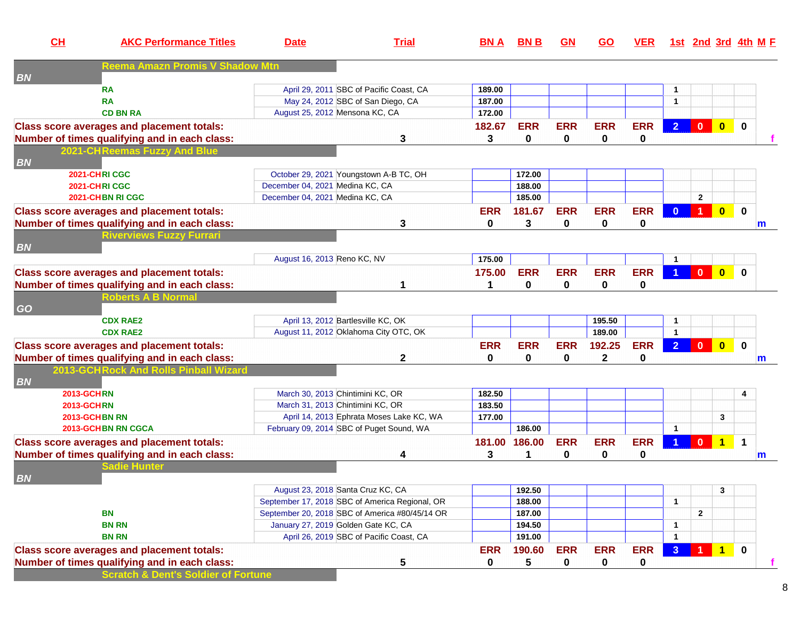| CL                             | <b>AKC Performance Titles</b>                     | <b>Date</b>                     | <b>Trial</b>                                   | <b>BN A</b> | <b>BNB</b>  | GM          | <u>GO</u>    | <b>VER</b> |                      |                         |                         | 1st 2nd 3rd 4th M E |
|--------------------------------|---------------------------------------------------|---------------------------------|------------------------------------------------|-------------|-------------|-------------|--------------|------------|----------------------|-------------------------|-------------------------|---------------------|
| <b>BN</b>                      | <b>Reema Amazn Promis V Shadow Mtn</b>            |                                 |                                                |             |             |             |              |            |                      |                         |                         |                     |
|                                | <b>RA</b>                                         |                                 | April 29, 2011 SBC of Pacific Coast, CA        | 189.00      |             |             |              |            | $\mathbf{1}$         |                         |                         |                     |
|                                | <b>RA</b>                                         |                                 | May 24, 2012 SBC of San Diego, CA              | 187.00      |             |             |              |            | $\blacktriangleleft$ |                         |                         |                     |
|                                | <b>CD BN RA</b>                                   |                                 | August 25, 2012 Mensona KC, CA                 | 172.00      |             |             |              |            |                      |                         |                         |                     |
|                                | <b>Class score averages and placement totals:</b> |                                 |                                                | 182.67      | <b>ERR</b>  | <b>ERR</b>  | <b>ERR</b>   | <b>ERR</b> | 2 <sup>1</sup>       | $\mathbf{0}$            | $\overline{\mathbf{0}}$ | $\mathbf{0}$        |
|                                | Number of times qualifying and in each class:     |                                 | 3                                              | 3           | $\mathbf 0$ | 0           | 0            | 0          |                      |                         |                         |                     |
|                                | 2021-CHReemas Fuzzy And Blue                      |                                 |                                                |             |             |             |              |            |                      |                         |                         |                     |
| <b>BN</b>                      | 2021-CHRICGC                                      |                                 |                                                |             | 172.00      |             |              |            |                      |                         |                         |                     |
|                                | 2021-CHRICGC                                      | December 04, 2021 Medina KC, CA | October 29, 2021 Youngstown A-B TC, OH         |             | 188.00      |             |              |            |                      |                         |                         |                     |
|                                | 2021-CHBN RICGC                                   | December 04, 2021 Medina KC, CA |                                                |             | 185.00      |             |              |            |                      | $\mathbf{2}$            |                         |                     |
|                                |                                                   |                                 |                                                |             |             |             |              |            |                      |                         |                         |                     |
|                                | <b>Class score averages and placement totals:</b> |                                 |                                                | <b>ERR</b>  | 181.67      | <b>ERR</b>  | <b>ERR</b>   | <b>ERR</b> | $\mathbf{0}$         | 1                       | $\overline{\mathbf{0}}$ | $\mathbf{0}$        |
|                                | Number of times qualifying and in each class:     |                                 | 3                                              | 0           | 3           | $\mathbf 0$ | 0            | 0          |                      |                         |                         | m                   |
| <b>BN</b>                      | <b>Riverviews Fuzzy Furrari</b>                   |                                 |                                                |             |             |             |              |            |                      |                         |                         |                     |
|                                |                                                   | August 16, 2013 Reno KC, NV     |                                                | 175.00      |             |             |              |            | $\mathbf{1}$         |                         |                         |                     |
|                                | <b>Class score averages and placement totals:</b> |                                 |                                                | 175.00      | <b>ERR</b>  | <b>ERR</b>  | <b>ERR</b>   | <b>ERR</b> |                      | $\mathbf{0}$            | $\overline{\mathbf{0}}$ | $\bf{0}$            |
|                                | Number of times qualifying and in each class:     |                                 |                                                | 1           | 0           | 0           | 0            | 0          |                      |                         |                         |                     |
|                                | <b>Roberts A B Normal</b>                         |                                 |                                                |             |             |             |              |            |                      |                         |                         |                     |
| GO                             |                                                   |                                 |                                                |             |             |             |              |            |                      |                         |                         |                     |
|                                | <b>CDX RAE2</b>                                   |                                 | April 13, 2012 Bartlesville KC, OK             |             |             |             | 195.50       |            | $\mathbf{1}$         |                         |                         |                     |
|                                | <b>CDX RAE2</b>                                   |                                 | August 11, 2012 Oklahoma City OTC, OK          |             |             |             | 189.00       |            | $\mathbf{1}$         |                         |                         |                     |
|                                | <b>Class score averages and placement totals:</b> |                                 |                                                | <b>ERR</b>  | <b>ERR</b>  | <b>ERR</b>  | 192.25       | <b>ERR</b> | 2 <sup>1</sup>       | $\overline{\mathbf{0}}$ | $\bullet$               | $\mathbf 0$         |
|                                | Number of times qualifying and in each class:     |                                 | $\mathbf 2$                                    | 0           | $\mathbf 0$ | 0           | $\mathbf{2}$ | 0          |                      |                         |                         | m                   |
|                                | 2013-GCHRock And Rolls Pinball Wizard             |                                 |                                                |             |             |             |              |            |                      |                         |                         |                     |
| <b>BN</b><br><b>2013-GCHRN</b> |                                                   |                                 | March 30, 2013 Chintimini KC, OR               | 182.50      |             |             |              |            |                      |                         |                         | 4                   |
| <b>2013-GCHRN</b>              |                                                   |                                 | March 31, 2013 Chintimini KC, OR               | 183.50      |             |             |              |            |                      |                         |                         |                     |
|                                | 2013-GCHBN RN                                     |                                 | April 14, 2013 Ephrata Moses Lake KC, WA       | 177.00      |             |             |              |            |                      |                         | 3                       |                     |
|                                | 2013-GCHBN RN CGCA                                |                                 | February 09, 2014 SBC of Puget Sound, WA       |             | 186.00      |             |              |            | $\blacktriangleleft$ |                         |                         |                     |
|                                | <b>Class score averages and placement totals:</b> |                                 |                                                | 181.00      | 186.00      | <b>ERR</b>  | <b>ERR</b>   | <b>ERR</b> |                      |                         | $0$ 1                   | $\mathbf 1$         |
|                                | Number of times qualifying and in each class:     |                                 | 4                                              | 3           | 1           | 0           | 0            | 0          |                      |                         |                         | m                   |
|                                | adie Hunter                                       |                                 |                                                |             |             |             |              |            |                      |                         |                         |                     |
| <b>BN</b>                      |                                                   |                                 |                                                |             |             |             |              |            |                      |                         |                         |                     |
|                                |                                                   |                                 | August 23, 2018 Santa Cruz KC, CA              |             | 192.50      |             |              |            |                      |                         | 3                       |                     |
|                                |                                                   |                                 | September 17, 2018 SBC of America Regional, OR |             | 188.00      |             |              |            | $\mathbf{1}$         |                         |                         |                     |
|                                | <b>BN</b>                                         |                                 | September 20, 2018 SBC of America #80/45/14 OR |             | 187.00      |             |              |            |                      | $\mathbf{2}$            |                         |                     |
|                                | <b>BN RN</b>                                      |                                 | January 27, 2019 Golden Gate KC, CA            |             | 194.50      |             |              |            | 1                    |                         |                         |                     |
|                                | <b>BN RN</b>                                      |                                 | April 26, 2019 SBC of Pacific Coast, CA        |             | 191.00      |             |              |            | $\mathbf{1}$         |                         |                         |                     |
|                                | <b>Class score averages and placement totals:</b> |                                 |                                                | <b>ERR</b>  | 190.60      | <b>ERR</b>  | <b>ERR</b>   | <b>ERR</b> | $\mathbf{3}$         | -1.                     | $\overline{1}$          | $\bf{0}$            |
|                                | Number of times qualifying and in each class:     |                                 | 5                                              | 0           | 5           | 0           | 0            | 0          |                      |                         |                         | f                   |
|                                | cratch & Dent's Soldier of Fr                     |                                 |                                                |             |             |             |              |            |                      |                         |                         |                     |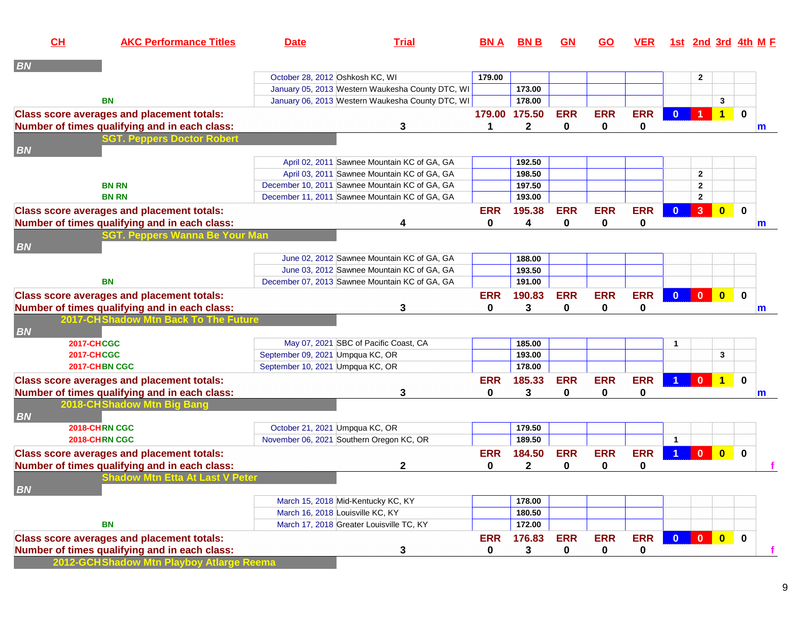| CL        | <b>AKC Performance Titles</b>                     | <b>Date</b>                                    | <b>Trial</b>                                     | <b>BNA</b> | <b>BNB</b>    | GN         | <b>GO</b>  | <b>VER</b> |                      | <u>1st 2nd 3rd 4th M F</u> |                         |             |   |
|-----------|---------------------------------------------------|------------------------------------------------|--------------------------------------------------|------------|---------------|------------|------------|------------|----------------------|----------------------------|-------------------------|-------------|---|
| <b>BN</b> |                                                   |                                                |                                                  |            |               |            |            |            |                      |                            |                         |             |   |
|           |                                                   | October 28, 2012 Oshkosh KC, WI                |                                                  | 179.00     |               |            |            |            |                      | $\mathbf{2}$               |                         |             |   |
|           |                                                   |                                                | January 05, 2013 Western Waukesha County DTC, WI |            | 173.00        |            |            |            |                      |                            |                         |             |   |
|           | <b>BN</b>                                         |                                                | January 06, 2013 Western Waukesha County DTC, WI |            | 178.00        |            |            |            |                      |                            | 3                       |             |   |
|           | <b>Class score averages and placement totals:</b> |                                                |                                                  |            | 179.00 175.50 | <b>ERR</b> | <b>ERR</b> | <b>ERR</b> | $\mathbf{0}$         | $\blacktriangleleft$       | $\overline{1}$          | $\mathbf 0$ |   |
|           | Number of times qualifying and in each class:     |                                                | 3                                                | 1          | $\mathbf{2}$  | 0          | 0          | 0          |                      |                            |                         |             | m |
|           | <b>GT. Peppers Doctor Robert</b>                  |                                                |                                                  |            |               |            |            |            |                      |                            |                         |             |   |
| <b>BN</b> |                                                   |                                                |                                                  |            |               |            |            |            |                      |                            |                         |             |   |
|           |                                                   |                                                | April 02, 2011 Sawnee Mountain KC of GA, GA      |            | 192.50        |            |            |            |                      |                            |                         |             |   |
|           |                                                   |                                                | April 03, 2011 Sawnee Mountain KC of GA, GA      |            | 198.50        |            |            |            |                      | $\mathbf{2}$               |                         |             |   |
|           | <b>BN RN</b>                                      | December 10, 2011 Sawnee Mountain KC of GA, GA |                                                  |            | 197.50        |            |            |            |                      | $\mathbf{2}$               |                         |             |   |
|           | <b>BN RN</b>                                      | December 11, 2011 Sawnee Mountain KC of GA, GA |                                                  |            | 193.00        |            |            |            |                      | $\mathbf{2}$               |                         |             |   |
|           | <b>Class score averages and placement totals:</b> |                                                |                                                  | <b>ERR</b> | 195.38        | <b>ERR</b> | <b>ERR</b> | <b>ERR</b> | $\mathbf{0}$         | 3 <sup>2</sup>             | $\overline{\mathbf{0}}$ | $\pmb{0}$   |   |
|           | Number of times qualifying and in each class:     |                                                | 4                                                | 0          | 4             | 0          | 0          | 0          |                      |                            |                         |             | m |
|           | GT. Peppers Wanna Be Your Man                     |                                                |                                                  |            |               |            |            |            |                      |                            |                         |             |   |
| <b>BN</b> |                                                   |                                                |                                                  |            |               |            |            |            |                      |                            |                         |             |   |
|           |                                                   |                                                | June 02, 2012 Sawnee Mountain KC of GA, GA       |            | 188.00        |            |            |            |                      |                            |                         |             |   |
|           |                                                   |                                                | June 03, 2012 Sawnee Mountain KC of GA, GA       |            | 193.50        |            |            |            |                      |                            |                         |             |   |
|           | <b>BN</b>                                         | December 07, 2013 Sawnee Mountain KC of GA, GA |                                                  |            | 191.00        |            |            |            |                      |                            |                         |             |   |
|           | <b>Class score averages and placement totals:</b> |                                                |                                                  | <b>ERR</b> | 190.83        | <b>ERR</b> | <b>ERR</b> | <b>ERR</b> | $\mathbf{0}$         | $\mathbf{0}$               | $\mathbf{0}$            | $\mathbf 0$ |   |
|           | Number of times qualifying and in each class:     |                                                | 3                                                | $\bf{0}$   | 3             | 0          | 0          | 0          |                      |                            |                         |             | m |
|           | 2017-CHShadow Mtn Back To The Future              |                                                |                                                  |            |               |            |            |            |                      |                            |                         |             |   |
| <b>BN</b> |                                                   |                                                |                                                  |            |               |            |            |            |                      |                            |                         |             |   |
|           | <b>2017-CHCGC</b>                                 | May 07, 2021 SBC of Pacific Coast, CA          |                                                  |            | 185.00        |            |            |            |                      |                            |                         |             |   |
|           | <b>2017-CHCGC</b>                                 | September 09, 2021 Umpqua KC, OR               |                                                  |            | 193.00        |            |            |            |                      |                            | 3                       |             |   |
|           | 2017-CHBN CGC                                     | September 10, 2021 Umpqua KC, OR               |                                                  |            | 178.00        |            |            |            |                      |                            |                         |             |   |
|           | <b>Class score averages and placement totals:</b> |                                                |                                                  | <b>ERR</b> | 185.33        | <b>ERR</b> | <b>ERR</b> | <b>ERR</b> |                      | $\mathbf{0}$               | $\overline{1}$          | $\mathbf 0$ |   |
|           | Number of times qualifying and in each class:     |                                                | 3                                                | 0          | 3             | 0          | 0          | 0          |                      |                            |                         |             | m |
|           | 2018-CH Shadow Mtn Big Bang                       |                                                |                                                  |            |               |            |            |            |                      |                            |                         |             |   |
| <b>BN</b> |                                                   |                                                |                                                  |            |               |            |            |            |                      |                            |                         |             |   |
|           | 2018-CHRN CGC                                     | October 21, 2021 Umpqua KC, OR                 |                                                  |            | 179.50        |            |            |            |                      |                            |                         |             |   |
|           | 2018-CHRN CGC                                     | November 06, 2021 Southern Oregon KC, OR       |                                                  |            | 189.50        |            |            |            | $\blacktriangleleft$ |                            |                         |             |   |
|           | <b>Class score averages and placement totals:</b> |                                                |                                                  | <b>ERR</b> | 184.50        | <b>ERR</b> | <b>ERR</b> | <b>ERR</b> |                      | $\mathbf{0}$               | $\mathbf{0}$            | $\mathbf 0$ |   |
|           | Number of times qualifying and in each class:     |                                                | 2                                                | 0          | 2             | 0          | 0          | 0          |                      |                            |                         |             |   |
|           | Shadow Mtn Etta At Last V Peter                   |                                                |                                                  |            |               |            |            |            |                      |                            |                         |             |   |
| <b>BN</b> |                                                   |                                                |                                                  |            |               |            |            |            |                      |                            |                         |             |   |
|           |                                                   | March 15, 2018 Mid-Kentucky KC, KY             |                                                  |            | 178.00        |            |            |            |                      |                            |                         |             |   |
|           |                                                   | March 16, 2018 Louisville KC, KY               |                                                  |            | 180.50        |            |            |            |                      |                            |                         |             |   |
|           | <b>BN</b>                                         | March 17, 2018 Greater Louisville TC, KY       |                                                  |            | 172.00        |            |            |            |                      |                            |                         |             |   |
|           | <b>Class score averages and placement totals:</b> |                                                |                                                  | <b>ERR</b> | 176.83        | <b>ERR</b> | <b>ERR</b> | <b>ERR</b> | $\mathbf{0}$         | $\mathbf{0}$               | $\bullet$               | $\mathbf 0$ |   |
|           | Number of times qualifying and in each class:     |                                                | 3                                                | 0          | 3             | 0          | 0          | 0          |                      |                            |                         |             |   |
|           |                                                   |                                                |                                                  |            |               |            |            |            |                      |                            |                         |             |   |

**2012-GCHShadow Mtn Playboy Atlarge Reema**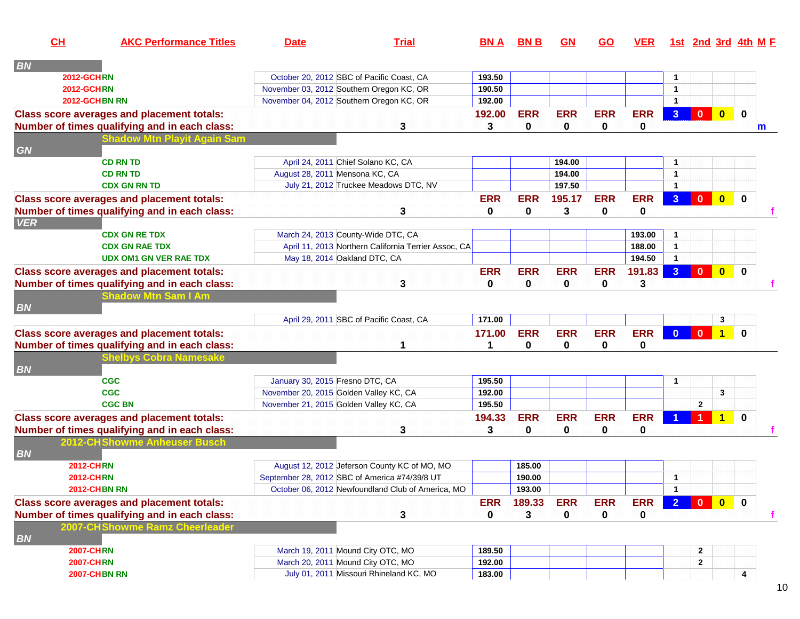| CL                | <b>AKC Performance Titles</b>                     | <b>Date</b>                     | <b>Trial</b>                                         | <b>BNA</b>   | <b>BNB</b>  | <b>GN</b>   | <b>GO</b>  | <b>VER</b> |                      |                |                         | 1st 2nd 3rd 4th M F |
|-------------------|---------------------------------------------------|---------------------------------|------------------------------------------------------|--------------|-------------|-------------|------------|------------|----------------------|----------------|-------------------------|---------------------|
| <b>BN</b>         |                                                   |                                 |                                                      |              |             |             |            |            |                      |                |                         |                     |
| <b>2012-GCHRN</b> |                                                   |                                 | October 20, 2012 SBC of Pacific Coast, CA            | 193.50       |             |             |            |            | $\mathbf{1}$         |                |                         |                     |
| <b>2012-GCHRN</b> |                                                   |                                 | November 03, 2012 Southern Oregon KC, OR             | 190.50       |             |             |            |            | $\mathbf{1}$         |                |                         |                     |
|                   | 2012-GCHBN RN                                     |                                 | November 04, 2012 Southern Oregon KC, OR             | 192.00       |             |             |            |            | $\mathbf{1}$         |                |                         |                     |
|                   | <b>Class score averages and placement totals:</b> |                                 |                                                      | 192.00       | <b>ERR</b>  | <b>ERR</b>  | <b>ERR</b> | <b>ERR</b> | 3 <sup>1</sup>       | $\mathbf{0}$   | $\bullet$               | $\bf{0}$            |
|                   | Number of times qualifying and in each class:     |                                 | 3                                                    | 3            | 0           | 0           | 0          | 0          |                      |                |                         | m                   |
|                   | hadow Mtn Playit Again Sam                        |                                 |                                                      |              |             |             |            |            |                      |                |                         |                     |
| GN                |                                                   |                                 |                                                      |              |             |             |            |            |                      |                |                         |                     |
|                   | <b>CD RN TD</b>                                   |                                 | April 24, 2011 Chief Solano KC, CA                   |              |             | 194.00      |            |            | $\mathbf 1$          |                |                         |                     |
|                   | <b>CD RN TD</b>                                   |                                 | August 28, 2011 Mensona KC, CA                       |              |             | 194.00      |            |            | $\overline{1}$       |                |                         |                     |
|                   | <b>CDX GN RN TD</b>                               |                                 | July 21, 2012 Truckee Meadows DTC, NV                |              |             | 197.50      |            |            | $\mathbf{1}$         |                |                         |                     |
|                   | <b>Class score averages and placement totals:</b> |                                 |                                                      | <b>ERR</b>   | <b>ERR</b>  | 195.17      | <b>ERR</b> | <b>ERR</b> | 3 <sup>1</sup>       | $\mathbf{0}$   | $\bullet$               | $\mathbf 0$         |
|                   | Number of times qualifying and in each class:     |                                 | 3                                                    | $\mathbf{0}$ | $\mathbf 0$ | 3           | 0          | 0          |                      |                |                         |                     |
| <b>VER</b>        |                                                   |                                 |                                                      |              |             |             |            |            |                      |                |                         |                     |
|                   | <b>CDX GN RE TDX</b>                              |                                 | March 24, 2013 County-Wide DTC, CA                   |              |             |             |            | 193.00     | $\mathbf{1}$         |                |                         |                     |
|                   | <b>CDX GN RAE TDX</b>                             |                                 | April 11, 2013 Northern California Terrier Assoc, CA |              |             |             |            | 188.00     | $\overline{1}$       |                |                         |                     |
|                   | <b>UDX OM1 GN VER RAE TDX</b>                     |                                 | May 18, 2014 Oakland DTC, CA                         |              |             |             |            | 194.50     | $\blacktriangleleft$ |                |                         |                     |
|                   | <b>Class score averages and placement totals:</b> |                                 |                                                      | <b>ERR</b>   | <b>ERR</b>  | <b>ERR</b>  | <b>ERR</b> | 191.83     | 3 <sup>°</sup>       | $\bullet$      | $\bullet$               | $\bf{0}$            |
|                   | Number of times qualifying and in each class:     |                                 | 3                                                    | $\mathbf{0}$ | 0           | 0           | 0          | 3          |                      |                |                         |                     |
|                   | Shadow Mtn Sam I Am                               |                                 |                                                      |              |             |             |            |            |                      |                |                         |                     |
| <b>BN</b>         |                                                   |                                 |                                                      |              |             |             |            |            |                      |                |                         |                     |
|                   |                                                   |                                 | April 29, 2011 SBC of Pacific Coast, CA              | 171.00       |             |             |            |            |                      |                | 3                       |                     |
|                   | <b>Class score averages and placement totals:</b> |                                 |                                                      | 171.00       | <b>ERR</b>  | <b>ERR</b>  | <b>ERR</b> | <b>ERR</b> | $\Omega$             | $\mathbf{0}$   | $\overline{1}$          | $\Omega$            |
|                   | Number of times qualifying and in each class:     |                                 |                                                      | 1            | $\bf{0}$    | $\mathbf 0$ | 0          | 0          |                      |                |                         |                     |
|                   | helbys Cobra Namesake                             |                                 |                                                      |              |             |             |            |            |                      |                |                         |                     |
| <b>BN</b>         |                                                   |                                 |                                                      |              |             |             |            |            |                      |                |                         |                     |
|                   | <b>CGC</b>                                        | January 30, 2015 Fresno DTC, CA |                                                      | 195.50       |             |             |            |            | $\mathbf{1}$         |                |                         |                     |
|                   | <b>CGC</b>                                        |                                 | November 20, 2015 Golden Valley KC, CA               | 192.00       |             |             |            |            |                      |                | $\mathbf{3}$            |                     |
|                   | <b>CGC BN</b>                                     |                                 | November 21, 2015 Golden Valley KC, CA               | 195.50       |             |             |            |            |                      | $\overline{2}$ |                         |                     |
|                   | <b>Class score averages and placement totals:</b> |                                 |                                                      | 194.33       | <b>ERR</b>  | <b>ERR</b>  | <b>ERR</b> | <b>ERR</b> |                      |                | $\overline{\mathbf{1}}$ | $\mathbf{0}$        |
|                   | Number of times qualifying and in each class:     |                                 | 3                                                    | 3            | 0           | 0           | 0          | 0          |                      |                |                         |                     |
|                   | 2012-CHShowme Anheuser Busch                      |                                 |                                                      |              |             |             |            |            |                      |                |                         |                     |
| <b>BN</b>         |                                                   |                                 |                                                      |              |             |             |            |            |                      |                |                         |                     |
|                   | <b>2012-CHRN</b>                                  |                                 | August 12, 2012 Jeferson County KC of MO, MO         |              | 185.00      |             |            |            |                      |                |                         |                     |
|                   | <b>2012-CHRN</b>                                  |                                 | September 28, 2012 SBC of America #74/39/8 UT        |              | 190.00      |             |            |            | $\overline{1}$       |                |                         |                     |
|                   | <b>2012-CHBN RN</b>                               |                                 | October 06, 2012 Newfoundland Club of America, MO    |              | 193.00      |             |            |            | $\mathbf{1}$         |                |                         |                     |
|                   | <b>Class score averages and placement totals:</b> |                                 |                                                      | <b>ERR</b>   | 189.33      | <b>ERR</b>  | <b>ERR</b> | <b>ERR</b> | $\overline{2}$       | $\bullet$      | $\bullet$               | $\mathbf{0}$        |
|                   | Number of times qualifying and in each class:     |                                 | 3                                                    | 0            | 3           | $\mathbf 0$ | 0          | 0          |                      |                |                         | f.                  |
|                   | 2007-CHShowme Ramz Cheerleader                    |                                 |                                                      |              |             |             |            |            |                      |                |                         |                     |
| BN                |                                                   |                                 |                                                      |              |             |             |            |            |                      |                |                         |                     |
|                   | <b>2007-CHRN</b>                                  |                                 | March 19, 2011 Mound City OTC, MO                    | 189.50       |             |             |            |            |                      | $\mathbf{2}$   |                         |                     |
|                   | <b>2007-CHRN</b>                                  |                                 | March 20, 2011 Mound City OTC, MO                    | 192.00       |             |             |            |            |                      | $\mathbf{2}$   |                         |                     |
|                   | <b>2007-CHBN RN</b>                               |                                 | July 01, 2011 Missouri Rhineland KC, MO              | 183.00       |             |             |            |            |                      |                |                         | 4                   |
|                   |                                                   |                                 |                                                      |              |             |             |            |            |                      |                |                         |                     |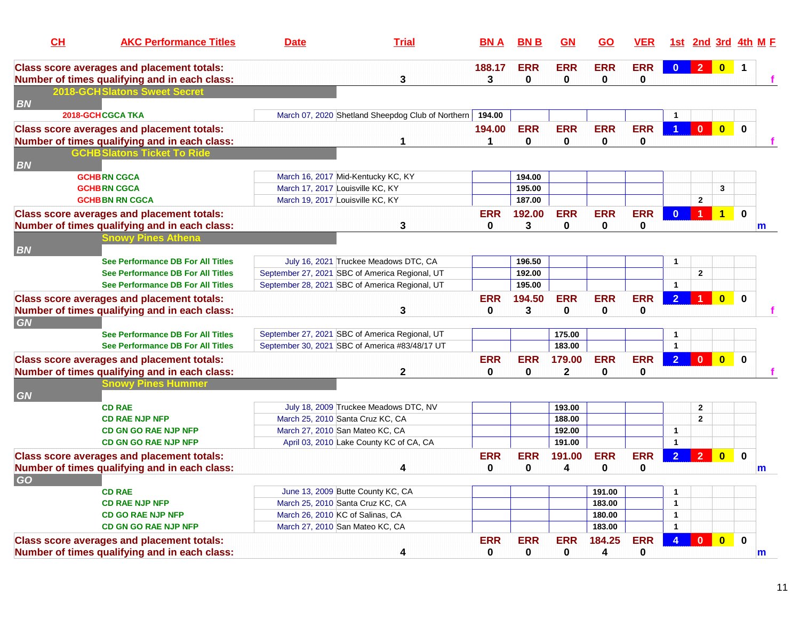| CH<br><b>AKC Performance Titles</b>                                                                | <b>Date</b> | <b>Trial</b>                                                                                     | <u>BN A</u>                    | <b>BN B</b>            | GM                        | GO                         | <b>VER</b>                |                              | <u>1st 2nd 3rd 4th M F</u> |                         |                |              |
|----------------------------------------------------------------------------------------------------|-------------|--------------------------------------------------------------------------------------------------|--------------------------------|------------------------|---------------------------|----------------------------|---------------------------|------------------------------|----------------------------|-------------------------|----------------|--------------|
| <b>Class score averages and placement totals:</b><br>Number of times qualifying and in each class: |             | $\mathbf{3}$                                                                                     | 188.17<br>3                    | <b>ERR</b><br>$\bf{0}$ | <b>ERR</b><br>$\bf{0}$    | <b>ERR</b><br>$\mathbf{0}$ | <b>ERR</b><br>$\mathbf 0$ | $\mathbf{0}$                 | 2 <sup>1</sup>             | $\overline{\mathbf{0}}$ | $\overline{1}$ |              |
| <b>2018-GCHSlatons Sweet Secre</b>                                                                 |             |                                                                                                  |                                |                        |                           |                            |                           |                              |                            |                         |                |              |
| <b>BN</b>                                                                                          |             |                                                                                                  |                                |                        |                           |                            |                           |                              |                            |                         |                |              |
| 2018-GCHCGCA TKA                                                                                   |             | March 07, 2020 Shetland Sheepdog Club of Northern                                                | 194.00                         |                        | <b>ERR</b>                | <b>ERR</b>                 | <b>ERR</b>                |                              | $\mathbf{0}$               |                         |                |              |
| <b>Class score averages and placement totals:</b><br>Number of times qualifying and in each class: |             | 1                                                                                                | 194.00<br>$\blacktriangleleft$ | <b>ERR</b><br>0        | $\mathbf 0$               | 0                          | 0                         | $\overline{1}$               |                            | $\bullet$               | $\mathbf{0}$   |              |
| <b>GCHB Slatons Ticket To Ride</b>                                                                 |             |                                                                                                  |                                |                        |                           |                            |                           |                              |                            |                         |                |              |
| <b>BN</b>                                                                                          |             |                                                                                                  |                                |                        |                           |                            |                           |                              |                            |                         |                |              |
| <b>GCHBRN CGCA</b>                                                                                 |             | March 16, 2017 Mid-Kentucky KC, KY                                                               |                                | 194.00                 |                           |                            |                           |                              |                            |                         |                |              |
| <b>GCHBRN CGCA</b>                                                                                 |             | March 17, 2017 Louisville KC, KY                                                                 |                                | 195.00                 |                           |                            |                           |                              |                            | $\mathbf{3}$            |                |              |
| <b>GCHBBN RN CGCA</b>                                                                              |             | March 19, 2017 Louisville KC, KY                                                                 |                                | 187.00                 |                           |                            |                           |                              | $\mathbf{2}$               |                         |                |              |
| <b>Class score averages and placement totals:</b>                                                  |             |                                                                                                  | <b>ERR</b>                     | 192.00                 | <b>ERR</b>                | <b>ERR</b>                 | <b>ERR</b>                | $\mathbf{0}$                 | $\blacktriangleleft$       | $\overline{1}$          | $\mathbf 0$    |              |
| Number of times qualifying and in each class:                                                      |             | 3                                                                                                | $\mathbf{0}$                   | 3                      | 0                         | $\mathbf{0}$               | 0                         |                              |                            |                         |                | $\mathbf{m}$ |
| Snowv Pines Athena                                                                                 |             |                                                                                                  |                                |                        |                           |                            |                           |                              |                            |                         |                |              |
| <b>BN</b>                                                                                          |             |                                                                                                  |                                |                        |                           |                            |                           |                              |                            |                         |                |              |
| <b>See Performance DB For All Titles</b>                                                           |             | July 16, 2021 Truckee Meadows DTC, CA                                                            |                                | 196.50                 |                           |                            |                           | $\mathbf{1}$                 |                            |                         |                |              |
| See Performance DB For All Titles<br><b>See Performance DB For All Titles</b>                      |             | September 27, 2021 SBC of America Regional, UT<br>September 28, 2021 SBC of America Regional, UT |                                | 192.00<br>195.00       |                           |                            |                           | $\mathbf{1}$                 | $\mathbf{2}$               |                         |                |              |
|                                                                                                    |             |                                                                                                  |                                |                        |                           |                            |                           |                              |                            |                         |                |              |
| <b>Class score averages and placement totals:</b>                                                  |             |                                                                                                  | <b>ERR</b><br>$\bf{0}$         | 194.50<br>3            | <b>ERR</b><br>$\mathbf 0$ | <b>ERR</b><br>$\mathbf 0$  | <b>ERR</b>                | 2 <sup>1</sup>               |                            | $\overline{\mathbf{0}}$ | $\mathbf 0$    |              |
| Number of times qualifying and in each class:<br><b>GN</b>                                         |             | 3                                                                                                |                                |                        |                           |                            | 0                         |                              |                            |                         |                |              |
| <b>See Performance DB For All Titles</b>                                                           |             | September 27, 2021 SBC of America Regional, UT                                                   |                                |                        | 175.00                    |                            |                           | $\mathbf{1}$                 |                            |                         |                |              |
| See Performance DB For All Titles                                                                  |             | September 30, 2021 SBC of America #83/48/17 UT                                                   |                                |                        | 183.00                    |                            |                           | $\mathbf{1}$                 |                            |                         |                |              |
| <b>Class score averages and placement totals:</b>                                                  |             |                                                                                                  | <b>ERR</b>                     | <b>ERR</b>             | 179.00                    | <b>ERR</b>                 | <b>ERR</b>                | 2 <sup>1</sup>               | $\mathbf{0}$               | $\overline{0}$          | $\bf{0}$       |              |
| Number of times qualifying and in each class:                                                      |             | $\mathbf{2}$                                                                                     | 0                              | 0                      | $\mathbf{2}$              | $\bf{0}$                   | $\pmb{0}$                 |                              |                            |                         |                |              |
| Snowy Pines Hummer                                                                                 |             |                                                                                                  |                                |                        |                           |                            |                           |                              |                            |                         |                |              |
| <b>GN</b>                                                                                          |             |                                                                                                  |                                |                        |                           |                            |                           |                              |                            |                         |                |              |
| <b>CD RAE</b>                                                                                      |             | July 18, 2009 Truckee Meadows DTC, NV                                                            |                                |                        | 193.00                    |                            |                           |                              | $\mathbf{2}$               |                         |                |              |
| <b>CD RAE NJP NFP</b>                                                                              |             | March 25, 2010 Santa Cruz KC, CA                                                                 |                                |                        | 188.00                    |                            |                           |                              | $\overline{2}$             |                         |                |              |
| <b>CD GN GO RAE NJP NFP</b>                                                                        |             | March 27, 2010 San Mateo KC, CA                                                                  |                                |                        | 192.00                    |                            |                           | $\mathbf{1}$                 |                            |                         |                |              |
| <b>CD GN GO RAE NJP NFP</b>                                                                        |             | April 03, 2010 Lake County KC of CA, CA                                                          |                                |                        | 191.00                    |                            |                           | $\overline{1}$               |                            |                         |                |              |
| <b>Class score averages and placement totals:</b>                                                  |             |                                                                                                  | <b>ERR</b>                     | <b>ERR</b>             | 191.00                    | <b>ERR</b>                 | <b>ERR</b>                | 2 <sup>1</sup>               | $\overline{2}$             | $\overline{0}$          | $\mathbf 0$    |              |
| Number of times qualifying and in each class:                                                      |             | 4                                                                                                | 0                              | 0                      | 4                         | 0                          | 0                         |                              |                            |                         |                | $\mathsf{m}$ |
| GO                                                                                                 |             |                                                                                                  |                                |                        |                           |                            |                           |                              |                            |                         |                |              |
| <b>CD RAE</b>                                                                                      |             | June 13, 2009 Butte County KC, CA                                                                |                                |                        |                           | 191.00                     |                           | $\overline{1}$               |                            |                         |                |              |
| <b>CD RAE NJP NFP</b><br><b>CD GO RAE NJP NFP</b>                                                  |             | March 25, 2010 Santa Cruz KC, CA<br>March 26, 2010 KC of Salinas, CA                             |                                |                        |                           | 183.00<br>180.00           |                           | $\mathbf{1}$<br>$\mathbf{1}$ |                            |                         |                |              |
| <b>CD GN GO RAE NJP NFP</b>                                                                        |             | March 27, 2010 San Mateo KC, CA                                                                  |                                |                        |                           | 183.00                     |                           | $\mathbf{1}$                 |                            |                         |                |              |
| <b>Class score averages and placement totals:</b>                                                  |             |                                                                                                  | <b>ERR</b>                     | <b>ERR</b>             | <b>ERR</b>                | 184.25                     | <b>ERR</b>                |                              | $\Omega$                   | $\overline{0}$          | $\mathbf 0$    |              |
| Number of times qualifying and in each class:                                                      |             | 4                                                                                                | 0                              | $\bf{0}$               | $\bf{0}$                  | 4                          | $\bf{0}$                  |                              |                            |                         |                | $\mathsf{m}$ |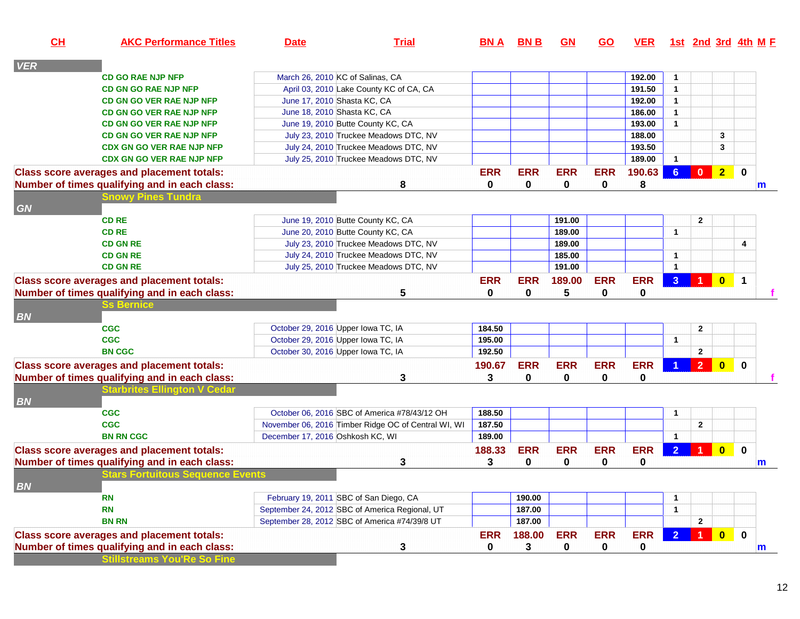| CL         | <b>AKC Performance Titles</b>                     | <b>Date</b>                      | <b>Trial</b>                                        | <b>BNA</b> | <b>BNB</b>   | GM              | <u>GO</u>  | <u>VER</u> |                      | 1st 2nd 3rd 4th M E |                         |                      |   |
|------------|---------------------------------------------------|----------------------------------|-----------------------------------------------------|------------|--------------|-----------------|------------|------------|----------------------|---------------------|-------------------------|----------------------|---|
| <b>VER</b> |                                                   |                                  |                                                     |            |              |                 |            |            |                      |                     |                         |                      |   |
|            | <b>CD GO RAE NJP NFP</b>                          |                                  | March 26, 2010 KC of Salinas, CA                    |            |              |                 |            | 192.00     | $\mathbf{1}$         |                     |                         |                      |   |
|            | <b>CD GN GO RAE NJP NFP</b>                       |                                  | April 03, 2010 Lake County KC of CA, CA             |            |              |                 |            | 191.50     | $\mathbf{1}$         |                     |                         |                      |   |
|            | <b>CD GN GO VER RAE NJP NFP</b>                   |                                  | June 17, 2010 Shasta KC, CA                         |            |              |                 |            | 192.00     | $\mathbf{1}$         |                     |                         |                      |   |
|            | <b>CD GN GO VER RAE NJP NFP</b>                   |                                  | June 18, 2010 Shasta KC, CA                         |            |              |                 |            | 186.00     | $\mathbf{1}$         |                     |                         |                      |   |
|            | <b>CD GN GO VER RAE NJP NFP</b>                   |                                  | June 19, 2010 Butte County KC, CA                   |            |              |                 |            | 193.00     | $\mathbf{1}$         |                     |                         |                      |   |
|            | <b>CD GN GO VER RAE NJP NFP</b>                   |                                  | July 23, 2010 Truckee Meadows DTC, NV               |            |              |                 |            | 188.00     |                      |                     | 3                       |                      |   |
|            | <b>CDX GN GO VER RAE NJP NFP</b>                  |                                  | July 24, 2010 Truckee Meadows DTC, NV               |            |              |                 |            | 193.50     |                      |                     | 3                       |                      |   |
|            | <b>CDX GN GO VER RAE NJP NFP</b>                  |                                  | July 25, 2010 Truckee Meadows DTC, NV               |            |              |                 |            | 189.00     | $\mathbf{1}$         |                     |                         |                      |   |
|            | <b>Class score averages and placement totals:</b> |                                  |                                                     | <b>ERR</b> | <b>ERR</b>   | <b>ERR</b>      | <b>ERR</b> | 190.63     | $6^{\circ}$          | $\mathbf{0}$        | $\overline{2}$          | $\mathbf 0$          |   |
|            | Number of times qualifying and in each class:     |                                  | 8                                                   | 0          | 0            | 0               | 0          | 8          |                      |                     |                         |                      | m |
|            | <b>Snowy Pines Tundra</b>                         |                                  |                                                     |            |              |                 |            |            |                      |                     |                         |                      |   |
| GN         |                                                   |                                  |                                                     |            |              |                 |            |            |                      |                     |                         |                      |   |
|            | <b>CD RE</b>                                      |                                  | June 19, 2010 Butte County KC, CA                   |            |              | 191.00          |            |            |                      | $\mathbf{2}$        |                         |                      |   |
|            | <b>CD RE</b>                                      |                                  | June 20, 2010 Butte County KC, CA                   |            |              | 189.00          |            |            | $\mathbf{1}$         |                     |                         |                      |   |
|            | <b>CD GN RE</b>                                   |                                  | July 23, 2010 Truckee Meadows DTC, NV               |            |              | 189.00          |            |            |                      |                     |                         | 4                    |   |
|            | <b>CD GN RE</b>                                   |                                  | July 24, 2010 Truckee Meadows DTC, NV               |            |              | 185.00          |            |            | $\mathbf{1}$         |                     |                         |                      |   |
|            | <b>CD GN RE</b>                                   |                                  | July 25, 2010 Truckee Meadows DTC, NV               |            |              | 191.00          |            |            | $\mathbf{1}$         |                     |                         |                      |   |
|            | <b>Class score averages and placement totals:</b> |                                  |                                                     | <b>ERR</b> | <b>ERR</b>   | 189.00          | <b>ERR</b> | <b>ERR</b> | 3 <sup>1</sup>       | $\overline{1}$      | $\overline{0}$          | $\blacktriangleleft$ |   |
|            | Number of times qualifying and in each class:     |                                  | 5                                                   | 0          | $\mathbf{0}$ | $5\phantom{.0}$ | 0          | 0          |                      |                     |                         |                      |   |
|            | <b>Bernice</b>                                    |                                  |                                                     |            |              |                 |            |            |                      |                     |                         |                      |   |
| <b>BN</b>  |                                                   |                                  |                                                     |            |              |                 |            |            |                      |                     |                         |                      |   |
|            | <b>CGC</b>                                        |                                  | October 29, 2016 Upper Iowa TC, IA                  | 184.50     |              |                 |            |            |                      | $\mathbf{2}$        |                         |                      |   |
|            | <b>CGC</b>                                        |                                  | October 29, 2016 Upper Iowa TC, IA                  | 195.00     |              |                 |            |            | $\mathbf{1}$         |                     |                         |                      |   |
|            | <b>BN CGC</b>                                     |                                  | October 30, 2016 Upper Iowa TC, IA                  | 192.50     |              |                 |            |            |                      | $\mathbf{2}$        |                         |                      |   |
|            | <b>Class score averages and placement totals:</b> |                                  |                                                     | 190.67     | <b>ERR</b>   | <b>ERR</b>      | <b>ERR</b> | <b>ERR</b> |                      | $\overline{2}$      | $\overline{\mathbf{0}}$ | $\mathbf{0}$         |   |
|            | Number of times qualifying and in each class:     |                                  | 3                                                   | 3          | $\mathbf{0}$ | $\mathbf 0$     | 0          | 0          |                      |                     |                         |                      |   |
|            | <b>Starbrites Ellington V Cedar</b>               |                                  |                                                     |            |              |                 |            |            |                      |                     |                         |                      |   |
| <b>BN</b>  |                                                   |                                  |                                                     |            |              |                 |            |            |                      |                     |                         |                      |   |
|            | <b>CGC</b>                                        |                                  | October 06, 2016 SBC of America #78/43/12 OH        | 188.50     |              |                 |            |            | $\mathbf{1}$         |                     |                         |                      |   |
|            | <b>CGC</b>                                        |                                  | November 06, 2016 Timber Ridge OC of Central WI, WI | 187.50     |              |                 |            |            |                      | $\overline{2}$      |                         |                      |   |
|            | <b>BN RN CGC</b>                                  | December 17, 2016 Oshkosh KC, WI |                                                     | 189.00     |              |                 |            |            | $\mathbf{1}$         |                     |                         |                      |   |
|            | <b>Class score averages and placement totals:</b> |                                  |                                                     | 188.33     | <b>ERR</b>   | <b>ERR</b>      | <b>ERR</b> | <b>ERR</b> | $\overline{2}$       |                     | $\mathbf{0}$            | $\mathbf 0$          |   |
|            | Number of times qualifying and in each class:     |                                  | 3                                                   | 3          | $\mathbf{0}$ | $\mathbf 0$     | 0          | 0          |                      |                     |                         |                      | m |
|            | <b>Stars Fortuitous Sequence Events</b>           |                                  |                                                     |            |              |                 |            |            |                      |                     |                         |                      |   |
| BN         |                                                   |                                  |                                                     |            |              |                 |            |            |                      |                     |                         |                      |   |
|            | <b>RN</b>                                         |                                  | February 19, 2011 SBC of San Diego, CA              |            | 190.00       |                 |            |            | 1                    |                     |                         |                      |   |
|            | <b>RN</b>                                         |                                  | September 24, 2012 SBC of America Regional, UT      |            | 187.00       |                 |            |            | $\blacktriangleleft$ |                     |                         |                      |   |
|            | <b>BN RN</b>                                      |                                  | September 28, 2012 SBC of America #74/39/8 UT       |            | 187.00       |                 |            |            |                      | $\mathbf{2}$        |                         |                      |   |
|            | <b>Class score averages and placement totals:</b> |                                  |                                                     | <b>ERR</b> | 188.00       | <b>ERR</b>      | <b>ERR</b> | <b>ERR</b> | 2 <sup>1</sup>       | $\overline{1}$      | $\overline{\mathbf{0}}$ | $\mathbf 0$          |   |
|            | Number of times qualifying and in each class:     |                                  | 3                                                   | 0          | 3            | 0               | 0          | 0          |                      |                     |                         |                      | m |
|            | <b>Stillstreams You'Re So Fine</b>                |                                  |                                                     |            |              |                 |            |            |                      |                     |                         |                      |   |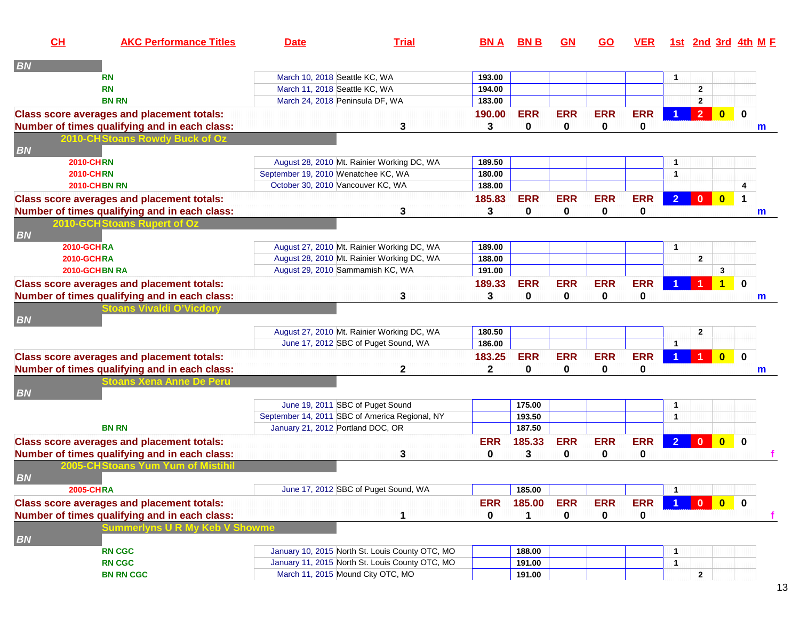| CH                | <b>AKC Performance Titles</b>                     | <b>Date</b>                                    | <b>Trial</b>                                    | BN A       | <b>BNB</b> | <u>GN</u>   | <b>GO</b>   | <b>VER</b> |                |                |                         | <u>1st 2nd 3rd 4th M F</u> |
|-------------------|---------------------------------------------------|------------------------------------------------|-------------------------------------------------|------------|------------|-------------|-------------|------------|----------------|----------------|-------------------------|----------------------------|
| <b>BN</b>         |                                                   |                                                |                                                 |            |            |             |             |            |                |                |                         |                            |
|                   | RN                                                | March 10, 2018 Seattle KC, WA                  |                                                 | 193.00     |            |             |             |            | $\mathbf{1}$   |                |                         |                            |
|                   | <b>RN</b>                                         | March 11, 2018 Seattle KC, WA                  |                                                 | 194.00     |            |             |             |            |                | $\mathbf{2}$   |                         |                            |
|                   | <b>BN RN</b>                                      | March 24, 2018 Peninsula DF, WA                |                                                 | 183.00     |            |             |             |            |                | $\mathbf{2}$   |                         |                            |
|                   | <b>Class score averages and placement totals:</b> |                                                |                                                 | 190.00     | <b>ERR</b> | <b>ERR</b>  | <b>ERR</b>  | <b>ERR</b> |                | 2 <sup>7</sup> | $\overline{\mathbf{0}}$ | $\mathbf 0$                |
|                   | Number of times qualifying and in each class:     |                                                | 3                                               | 3          | 0          | 0           | 0           | 0          |                |                |                         | m                          |
|                   | 2010-CHStoans Rowdy Buck of Oz                    |                                                |                                                 |            |            |             |             |            |                |                |                         |                            |
| <b>BN</b>         |                                                   |                                                |                                                 |            |            |             |             |            |                |                |                         |                            |
| <b>2010-CHRN</b>  |                                                   |                                                | August 28, 2010 Mt. Rainier Working DC, WA      | 189.50     |            |             |             |            | -1             |                |                         |                            |
| <b>2010-CHRN</b>  |                                                   | September 19, 2010 Wenatchee KC, WA            |                                                 | 180.00     |            |             |             |            | $\mathbf{1}$   |                |                         |                            |
|                   | <b>2010-CHBN RN</b>                               | October 30, 2010 Vancouver KC, WA              |                                                 | 188.00     |            |             |             |            |                |                |                         | 4                          |
|                   | <b>Class score averages and placement totals:</b> |                                                |                                                 | 185.83     | <b>ERR</b> | <b>ERR</b>  | <b>ERR</b>  | <b>ERR</b> | 2 <sup>1</sup> | $\mathbf{0}$   | $\overline{\mathbf{0}}$ | 1                          |
|                   | Number of times qualifying and in each class:     |                                                | 3                                               | 3          | 0          | 0           | $\mathbf 0$ | 0          |                |                |                         | m                          |
|                   | 2010-GCH Stoans Rupert of Oz                      |                                                |                                                 |            |            |             |             |            |                |                |                         |                            |
| <b>BN</b>         |                                                   |                                                |                                                 |            |            |             |             |            |                |                |                         |                            |
| <b>2010-GCHRA</b> |                                                   |                                                | August 27, 2010 Mt. Rainier Working DC, WA      | 189.00     |            |             |             |            | -1             |                |                         |                            |
| 2010-GCHRA        |                                                   |                                                | August 28, 2010 Mt. Rainier Working DC, WA      | 188.00     |            |             |             |            |                | $\mathbf{2}$   |                         |                            |
|                   | 2010-GCHBN RA                                     | August 29, 2010 Sammamish KC, WA               |                                                 | 191.00     |            |             |             |            |                |                | 3                       |                            |
|                   | <b>Class score averages and placement totals:</b> |                                                |                                                 | 189.33     | <b>ERR</b> | <b>ERR</b>  | <b>ERR</b>  | <b>ERR</b> |                |                | $\blacktriangleleft$    | $\mathbf 0$                |
|                   | Number of times qualifying and in each class:     |                                                | 3                                               | 3          | 0          | 0           | 0           | 0          |                |                |                         | m                          |
|                   | toans Vivaldi O'Vicdory                           |                                                |                                                 |            |            |             |             |            |                |                |                         |                            |
| <b>BN</b>         |                                                   |                                                |                                                 |            |            |             |             |            |                |                |                         |                            |
|                   |                                                   |                                                | August 27, 2010 Mt. Rainier Working DC, WA      | 180.50     |            |             |             |            |                | $\mathbf{2}$   |                         |                            |
|                   |                                                   |                                                | June 17, 2012 SBC of Puget Sound, WA            | 186.00     |            |             |             |            | $\overline{1}$ |                |                         |                            |
|                   | <b>Class score averages and placement totals:</b> |                                                |                                                 | 183.25     | <b>ERR</b> | <b>ERR</b>  | <b>ERR</b>  | <b>ERR</b> |                |                | $\overline{\mathbf{0}}$ | $\bf{0}$                   |
|                   | Number of times qualifying and in each class:     |                                                | 2                                               | 2          | 0          | 0           | 0           | 0          |                |                |                         | m                          |
|                   | toans Xena Anne De Peru                           |                                                |                                                 |            |            |             |             |            |                |                |                         |                            |
| <b>BN</b>         |                                                   |                                                |                                                 |            |            |             |             |            |                |                |                         |                            |
|                   |                                                   | June 19, 2011 SBC of Puget Sound               |                                                 |            | 175.00     |             |             |            | 1              |                |                         |                            |
|                   |                                                   | September 14, 2011 SBC of America Regional, NY |                                                 |            | 193.50     |             |             |            | $\mathbf{1}$   |                |                         |                            |
|                   | <b>BN RN</b>                                      | January 21, 2012 Portland DOC, OR              |                                                 |            | 187.50     |             |             |            |                |                |                         |                            |
|                   | <b>Class score averages and placement totals:</b> |                                                |                                                 | <b>ERR</b> | 185.33     | <b>ERR</b>  | <b>ERR</b>  | <b>ERR</b> | 2 <sup>1</sup> | $\mathbf{0}$   | $\mathbf{0}$            | $\bf{0}$                   |
|                   | Number of times qualifying and in each class:     |                                                | 3                                               | 0          | 3          | $\mathbf 0$ | 0           | 0          |                |                |                         |                            |
|                   | 2005-CHStoans Yum Yum of Mistihil                 |                                                |                                                 |            |            |             |             |            |                |                |                         |                            |
| <b>BN</b>         |                                                   |                                                |                                                 |            |            |             |             |            |                |                |                         |                            |
| <b>2005-CHRA</b>  |                                                   |                                                | June 17, 2012 SBC of Puget Sound, WA            |            | 185.00     |             |             |            | $\mathbf{1}$   |                |                         |                            |
|                   | <b>Class score averages and placement totals:</b> |                                                |                                                 | <b>ERR</b> | 185.00     | <b>ERR</b>  | <b>ERR</b>  | <b>ERR</b> |                | $\overline{0}$ | $\bullet$               | $\mathbf{0}$               |
|                   | Number of times qualifying and in each class:     |                                                | 1                                               | 0          | 1          | $\mathbf 0$ | 0           | 0          |                |                |                         | f                          |
|                   | <b>Summerlyns U R My Keb V Showme</b>             |                                                |                                                 |            |            |             |             |            |                |                |                         |                            |
| <b>BN</b>         |                                                   |                                                |                                                 |            |            |             |             |            |                |                |                         |                            |
|                   | <b>RN CGC</b>                                     |                                                | January 10, 2015 North St. Louis County OTC, MO |            | 188.00     |             |             |            | $\mathbf{1}$   |                |                         |                            |
|                   | <b>RN CGC</b>                                     |                                                | January 11, 2015 North St. Louis County OTC, MO |            | 191.00     |             |             |            | $\mathbf{1}$   |                |                         |                            |
|                   | <b>BN RN CGC</b>                                  | March 11, 2015 Mound City OTC, MO              |                                                 |            | 191.00     |             |             |            |                | $\mathbf{2}$   |                         |                            |
|                   |                                                   |                                                |                                                 |            |            |             |             |            |                |                |                         |                            |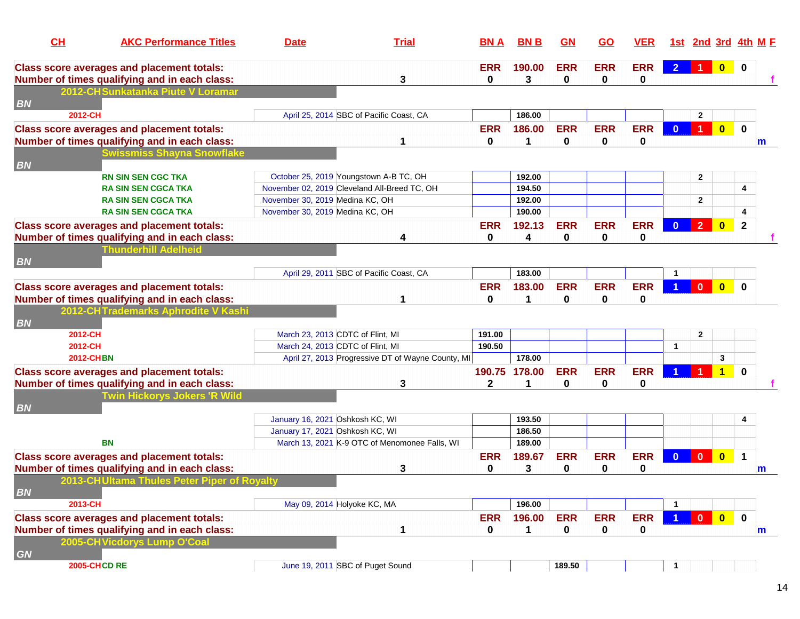| CL        | <b>AKC Performance Titles</b>                                                      | <b>Date</b>                                  | <b>Trial</b>                                      | <b>BNA</b>   | <b>BNB</b>    | GN         | <u>GO</u>  | <b>VER</b> |                      | 1st 2nd 3rd 4th M F  |                         |              |             |
|-----------|------------------------------------------------------------------------------------|----------------------------------------------|---------------------------------------------------|--------------|---------------|------------|------------|------------|----------------------|----------------------|-------------------------|--------------|-------------|
|           | <b>Class score averages and placement totals:</b>                                  |                                              |                                                   | <b>ERR</b>   | 190.00        | <b>ERR</b> | <b>ERR</b> | <b>ERR</b> | $\overline{2}$       | $\blacksquare$       |                         |              |             |
|           | Number of times qualifying and in each class:<br>2012-CHSunkatanka Piute V Loramar |                                              | 3                                                 | $\mathbf{0}$ | 3             | 0          | 0          | 0          |                      |                      |                         |              |             |
| <b>BN</b> |                                                                                    |                                              |                                                   |              |               |            |            |            |                      |                      |                         |              |             |
| 2012-CH   |                                                                                    |                                              | April 25, 2014 SBC of Pacific Coast, CA           |              | 186.00        |            |            |            |                      | $\mathbf{2}$         |                         |              |             |
|           | <b>Class score averages and placement totals:</b>                                  |                                              |                                                   | <b>ERR</b>   | 186.00        | <b>ERR</b> | <b>ERR</b> | <b>ERR</b> | $\mathbf{0}$         | $\blacktriangleleft$ | $\overline{\mathbf{0}}$ | $\mathbf 0$  |             |
|           | Number of times qualifying and in each class:                                      |                                              |                                                   | $\bf{0}$     | 1             | 0          | 0          | 0          |                      |                      |                         |              | m           |
|           | <b>Swissmiss Shayna Snowflake</b>                                                  |                                              |                                                   |              |               |            |            |            |                      |                      |                         |              |             |
| <b>BN</b> |                                                                                    |                                              |                                                   |              |               |            |            |            |                      |                      |                         |              |             |
|           | <b>RN SIN SEN CGC TKA</b>                                                          | October 25, 2019 Youngstown A-B TC, OH       |                                                   |              | 192.00        |            |            |            |                      | $\mathbf{2}$         |                         |              |             |
|           | <b>RA SIN SEN CGCA TKA</b>                                                         | November 02, 2019 Cleveland All-Breed TC, OH |                                                   |              | 194.50        |            |            |            |                      |                      |                         | 4            |             |
|           | <b>RA SIN SEN CGCA TKA</b>                                                         | November 30, 2019 Medina KC, OH              |                                                   |              | 192.00        |            |            |            |                      | $\mathbf{2}$         |                         |              |             |
|           | <b>RA SIN SEN CGCA TKA</b>                                                         | November 30, 2019 Medina KC, OH              |                                                   |              | 190.00        |            |            |            |                      |                      |                         | 4            |             |
|           | <b>Class score averages and placement totals:</b>                                  |                                              |                                                   | <b>ERR</b>   | 192.13        | <b>ERR</b> | <b>ERR</b> | <b>ERR</b> | $\mathbf{0}$         | 2 <sup>2</sup>       | $\bullet$               | $\mathbf{2}$ |             |
|           | Number of times qualifying and in each class:                                      |                                              | 4                                                 | $\bf{0}$     | 4             | 0          | 0          | 0          |                      |                      |                         |              |             |
|           | <b>Thunderhill Adelheid</b>                                                        |                                              |                                                   |              |               |            |            |            |                      |                      |                         |              |             |
| <b>BN</b> |                                                                                    |                                              |                                                   |              |               |            |            |            |                      |                      |                         |              |             |
|           |                                                                                    |                                              | April 29, 2011 SBC of Pacific Coast, CA           |              | 183.00        |            |            |            |                      |                      |                         |              |             |
|           | <b>Class score averages and placement totals:</b>                                  |                                              |                                                   | <b>ERR</b>   | 183.00        | <b>ERR</b> | <b>ERR</b> | <b>ERR</b> |                      | $\mathbf{0}$         | $\overline{\mathbf{0}}$ | $\bf{0}$     |             |
|           | Number of times qualifying and in each class:                                      |                                              |                                                   | $\mathbf{0}$ | 1             | 0          | 0          | 0          |                      |                      |                         |              |             |
|           | 2012-CHTrademarks Aphrodite V Kashi                                                |                                              |                                                   |              |               |            |            |            |                      |                      |                         |              |             |
| <b>BN</b> |                                                                                    |                                              |                                                   |              |               |            |            |            |                      |                      |                         |              |             |
| 2012-CH   |                                                                                    | March 23, 2013 CDTC of Flint, MI             |                                                   | 191.00       |               |            |            |            |                      | $\mathbf{2}$         |                         |              |             |
|           | 2012-CH                                                                            | March 24, 2013 CDTC of Flint, MI             |                                                   | 190.50       |               |            |            |            | $\mathbf{1}$         |                      |                         |              |             |
|           | <b>2012-CHBN</b>                                                                   |                                              | April 27, 2013 Progressive DT of Wayne County, MI |              | 178.00        |            |            |            |                      |                      | 3                       |              |             |
|           | <b>Class score averages and placement totals:</b>                                  |                                              |                                                   |              | 190.75 178.00 | <b>ERR</b> | <b>ERR</b> | <b>ERR</b> |                      |                      | $\overline{\mathbf{1}}$ | $\bf{0}$     |             |
|           | Number of times qualifying and in each class:                                      |                                              | 3                                                 | $\mathbf{2}$ | 1             | 0          | 0          | 0          |                      |                      |                         |              |             |
|           | <b>Twin Hickorys Jokers 'R Wild</b>                                                |                                              |                                                   |              |               |            |            |            |                      |                      |                         |              |             |
| <b>BN</b> |                                                                                    |                                              |                                                   |              |               |            |            |            |                      |                      |                         |              |             |
|           |                                                                                    | January 16, 2021 Oshkosh KC, WI              |                                                   |              | 193.50        |            |            |            |                      |                      |                         | 4            |             |
|           |                                                                                    | January 17, 2021 Oshkosh KC, WI              |                                                   |              | 186.50        |            |            |            |                      |                      |                         |              |             |
|           | <b>BN</b>                                                                          |                                              | March 13, 2021 K-9 OTC of Menomonee Falls, WI     |              | 189.00        |            |            |            |                      |                      |                         |              |             |
|           | <b>Class score averages and placement totals:</b>                                  |                                              |                                                   | <b>ERR</b>   | 189.67        | <b>ERR</b> | <b>ERR</b> | <b>ERR</b> | $\mathbf{0}$         | $\mathbf{0}$         | $\overline{\mathbf{0}}$ | $\mathbf{1}$ |             |
|           | Number of times qualifying and in each class:                                      |                                              | 3                                                 | 0            | 3             | 0          | 0          | 0          |                      |                      |                         |              | m           |
|           | 2013-CHUItama Thules Peter Piper of Royalty                                        |                                              |                                                   |              |               |            |            |            |                      |                      |                         |              |             |
| <b>BN</b> |                                                                                    |                                              |                                                   |              |               |            |            |            |                      |                      |                         |              |             |
| 2013-CH   |                                                                                    | May 09, 2014 Holyoke KC, MA                  |                                                   |              | 196.00        |            |            |            | $\blacktriangleleft$ |                      |                         |              |             |
|           | <b>Class score averages and placement totals:</b>                                  |                                              |                                                   | <b>ERR</b>   | 196.00        | <b>ERR</b> | <b>ERR</b> | <b>ERR</b> | $\blacktriangleleft$ |                      |                         | $\mathbf{0}$ |             |
|           | Number of times qualifying and in each class:                                      |                                              | 1                                                 | $\mathbf 0$  | 1             | $\bf{0}$   | 0          | 0          |                      |                      |                         |              | $\mathbf m$ |
|           | 2005-CHVicdorys Lump O'Coal                                                        |                                              |                                                   |              |               |            |            |            |                      |                      |                         |              |             |
| <b>GN</b> |                                                                                    |                                              |                                                   |              |               |            |            |            |                      |                      |                         |              |             |
|           | <b>2005-CHCD RE</b>                                                                | June 19, 2011 SBC of Puget Sound             |                                                   |              |               | 189.50     |            |            | $\mathbf{1}$         |                      |                         |              |             |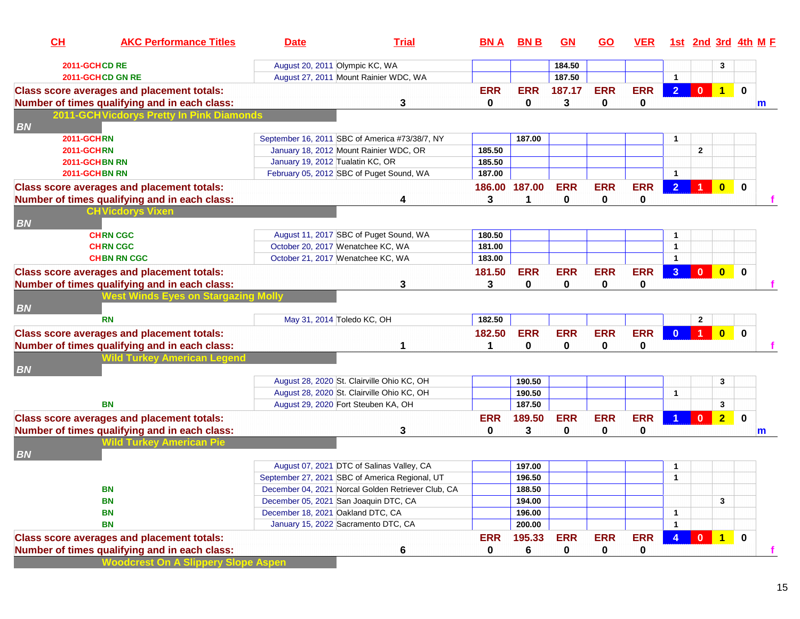| CL                | <b>AKC Performance Titles</b>                     | <b>Date</b>                       | <b>Trial</b>                                       | <b>BNA</b>    | <b>BNB</b>  | GN         | <b>GO</b>  | <b>VER</b> |                | 1st 2nd 3rd 4th M F  |                         |             |   |
|-------------------|---------------------------------------------------|-----------------------------------|----------------------------------------------------|---------------|-------------|------------|------------|------------|----------------|----------------------|-------------------------|-------------|---|
|                   | 2011-GCHCD RE                                     |                                   | August 20, 2011 Olympic KC, WA                     |               |             | 184.50     |            |            |                |                      | 3                       |             |   |
|                   | 2011-GCHCD GN RE                                  |                                   | August 27, 2011 Mount Rainier WDC, WA              |               |             | 187.50     |            |            | -1             |                      |                         |             |   |
|                   | <b>Class score averages and placement totals:</b> |                                   |                                                    | <b>ERR</b>    | <b>ERR</b>  | 187.17     | <b>ERR</b> | <b>ERR</b> | 2 <sup>1</sup> | $\mathbf{0}$         | $\overline{1}$          | $\bf{0}$    |   |
|                   | Number of times qualifying and in each class:     |                                   | 3                                                  | 0             | 0           | 3          | 0          | 0          |                |                      |                         |             | m |
| <b>BN</b>         | 2011-GCHVicdorys Pretty In Pink Diamonds          |                                   |                                                    |               |             |            |            |            |                |                      |                         |             |   |
| <b>2011-GCHRN</b> |                                                   |                                   | September 16, 2011 SBC of America #73/38/7, NY     |               | 187.00      |            |            |            | -1             |                      |                         |             |   |
| <b>2011-GCHRN</b> |                                                   |                                   | January 18, 2012 Mount Rainier WDC, OR             | 185.50        |             |            |            |            |                | $\mathbf{2}$         |                         |             |   |
|                   | 2011-GCHBN RN                                     | January 19, 2012 Tualatin KC, OR  |                                                    | 185.50        |             |            |            |            |                |                      |                         |             |   |
|                   | 2011-GCHBN RN                                     |                                   | February 05, 2012 SBC of Puget Sound, WA           | 187.00        |             |            |            |            | $\overline{1}$ |                      |                         |             |   |
|                   | <b>Class score averages and placement totals:</b> |                                   |                                                    | 186.00 187.00 |             | <b>ERR</b> | <b>ERR</b> | <b>ERR</b> | 2 <sup>1</sup> | $\blacktriangleleft$ | $\overline{\mathbf{0}}$ | $\mathbf 0$ |   |
|                   | Number of times qualifying and in each class:     |                                   | 4                                                  | 3             | 1           | 0          | 0          | 0          |                |                      |                         |             |   |
|                   | <b>CHVicdorys Vixen</b>                           |                                   |                                                    |               |             |            |            |            |                |                      |                         |             |   |
| <b>BN</b>         |                                                   |                                   |                                                    |               |             |            |            |            |                |                      |                         |             |   |
|                   | <b>CHRN CGC</b>                                   |                                   | August 11, 2017 SBC of Puget Sound, WA             | 180.50        |             |            |            |            | -1             |                      |                         |             |   |
|                   | <b>CHRN CGC</b>                                   |                                   | October 20, 2017 Wenatchee KC, WA                  | 181.00        |             |            |            |            | 1              |                      |                         |             |   |
|                   | <b>CHBN RN CGC</b>                                |                                   | October 21, 2017 Wenatchee KC, WA                  | 183.00        |             |            |            |            | -1             |                      |                         |             |   |
|                   | <b>Class score averages and placement totals:</b> |                                   |                                                    | 181.50        | <b>ERR</b>  | <b>ERR</b> | <b>ERR</b> | <b>ERR</b> | 3 <sup>°</sup> | $\mathbf{0}$         | $\overline{\mathbf{0}}$ | $\bf{0}$    |   |
|                   | Number of times qualifying and in each class:     |                                   | 3                                                  | 3             | $\mathbf 0$ | 0          | 0          | 0          |                |                      |                         |             |   |
|                   | <b>Nest Winds Eyes on Stargazing Mol</b>          |                                   |                                                    |               |             |            |            |            |                |                      |                         |             |   |
| <b>BN</b>         |                                                   |                                   |                                                    |               |             |            |            |            |                |                      |                         |             |   |
|                   | <b>RN</b>                                         |                                   | May 31, 2014 Toledo KC, OH                         | 182.50        |             |            |            |            |                | $\overline{2}$       |                         |             |   |
|                   | <b>Class score averages and placement totals:</b> |                                   |                                                    | 182.50        | <b>ERR</b>  | <b>ERR</b> | <b>ERR</b> | <b>ERR</b> | $\mathbf{0}$   | $\blacktriangleleft$ | $\overline{\mathbf{0}}$ | $\bf{0}$    |   |
|                   | Number of times qualifying and in each class:     |                                   |                                                    | 1             | 0           | 0          | 0          | 0          |                |                      |                         |             |   |
| <b>BN</b>         | <b>Nild Turkey American Legend</b>                |                                   |                                                    |               |             |            |            |            |                |                      |                         |             |   |
|                   |                                                   |                                   | August 28, 2020 St. Clairville Ohio KC, OH         |               | 190.50      |            |            |            |                |                      | 3                       |             |   |
|                   |                                                   |                                   | August 28, 2020 St. Clairville Ohio KC, OH         |               | 190.50      |            |            |            | $\mathbf{1}$   |                      |                         |             |   |
|                   | BN                                                |                                   | August 29, 2020 Fort Steuben KA, OH                |               | 187.50      |            |            |            |                |                      | 3                       |             |   |
|                   | <b>Class score averages and placement totals:</b> |                                   |                                                    | <b>ERR</b>    | 189.50      | <b>ERR</b> | <b>ERR</b> | <b>ERR</b> |                | $\mathbf{0}$         | $\overline{2}$          | 0           |   |
|                   | Number of times qualifying and in each class:     |                                   | 3                                                  | 0             | 3           | 0          | 0          | 0          |                |                      |                         |             | m |
|                   | <b>Wild Turkey American Pie</b>                   |                                   |                                                    |               |             |            |            |            |                |                      |                         |             |   |
| <b>BN</b>         |                                                   |                                   | August 07, 2021 DTC of Salinas Valley, CA          |               | 197.00      |            |            |            | 1              |                      |                         |             |   |
|                   |                                                   |                                   | September 27, 2021 SBC of America Regional, UT     |               | 196.50      |            |            |            | $\mathbf{1}$   |                      |                         |             |   |
|                   | <b>BN</b>                                         |                                   | December 04, 2021 Norcal Golden Retriever Club, CA |               | 188.50      |            |            |            |                |                      |                         |             |   |
|                   | <b>BN</b>                                         |                                   | December 05, 2021 San Joaquin DTC, CA              |               | 194.00      |            |            |            |                |                      | 3                       |             |   |
|                   | <b>BN</b>                                         | December 18, 2021 Oakland DTC, CA |                                                    |               | 196.00      |            |            |            | 1              |                      |                         |             |   |
|                   | <b>BN</b>                                         |                                   | January 15, 2022 Sacramento DTC, CA                |               | 200.00      |            |            |            | -1             |                      |                         |             |   |
|                   | <b>Class score averages and placement totals:</b> |                                   |                                                    | <b>ERR</b>    | 195.33      | <b>ERR</b> | <b>ERR</b> | <b>ERR</b> | $\overline{4}$ | $\bullet$            | $\overline{1}$          | $\mathbf 0$ |   |
|                   | Number of times qualifying and in each class:     |                                   | 6                                                  | 0             | 6           | 0          | 0          | 0          |                |                      |                         |             |   |
|                   | <b>Noodcrest On A Slippery Slope Aspen</b>        |                                   |                                                    |               |             |            |            |            |                |                      |                         |             |   |